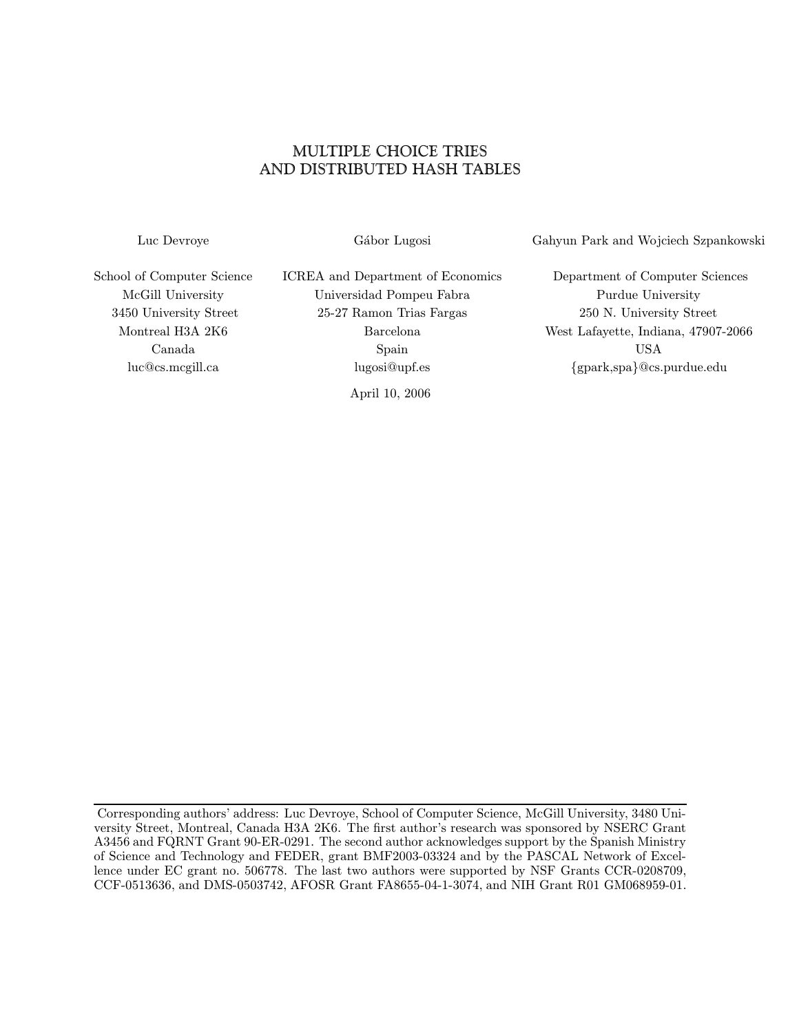# MULTIPLE CHOICE TRIES AND DISTRIBUTED HASH TABLES

Luc Devroye G´abor Lugosi Gahyun Park and Wojciech Szpankowski

School of Computer Science ICREA and Department of Economics Department of Computer Sciences McGill University Universidad Pompeu Fabra Purdue University 3450 University Street 25-27 Ramon Trias Fargas 250 N. University Street Montreal H3A 2K6 Barcelona West Lafayette, Indiana, 47907-2066 Canada Spain USA luc@cs.mcgill.ca lugosi@upf.es {gpark,spa}@cs.purdue.edu

April 10, 2006

Corresponding authors' address: Luc Devroye, School of Computer Science, McGill University, 3480 University Street, Montreal, Canada H3A 2K6. The first author's research was sponsored by NSERC Grant A3456 and FQRNT Grant 90-ER-0291. The second author acknowledges support by the Spanish Ministry of Science and Technology and FEDER, grant BMF2003-03324 and by the PASCAL Network of Excellence under EC grant no. 506778. The last two authors were supported by NSF Grants CCR-0208709, CCF-0513636, and DMS-0503742, AFOSR Grant FA8655-04-1-3074, and NIH Grant R01 GM068959-01.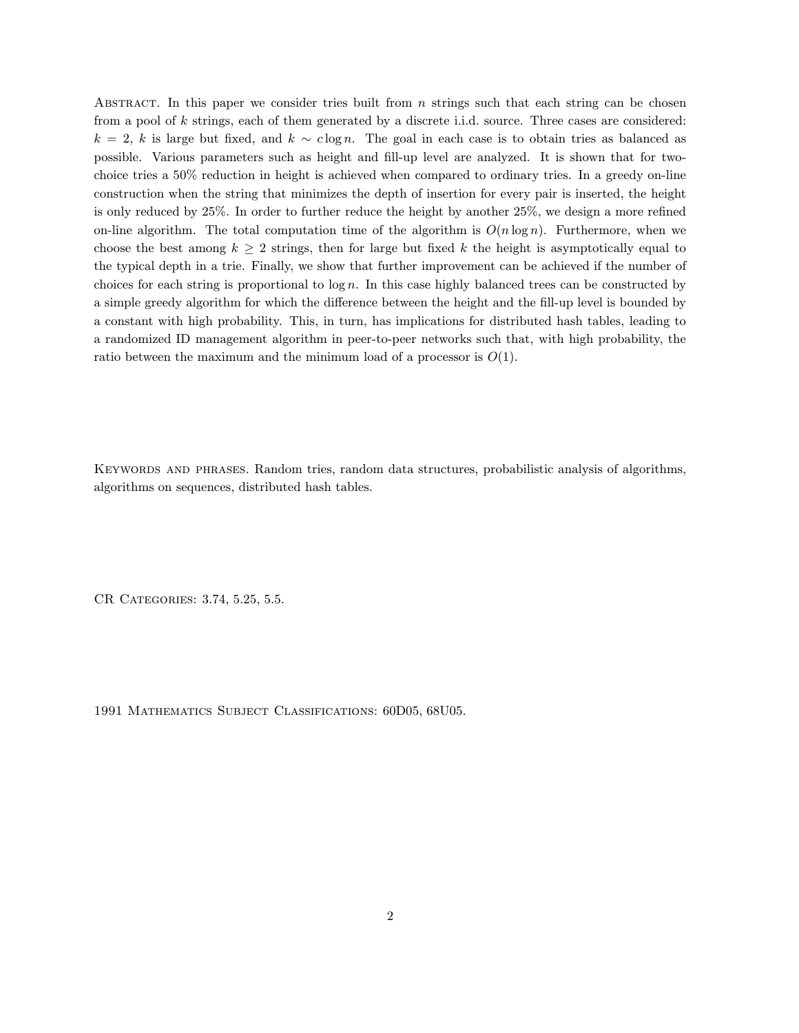ABSTRACT. In this paper we consider tries built from  $n$  strings such that each string can be chosen from a pool of k strings, each of them generated by a discrete i.i.d. source. Three cases are considered:  $k = 2$ , k is large but fixed, and  $k \sim c \log n$ . The goal in each case is to obtain tries as balanced as possible. Various parameters such as height and fill-up level are analyzed. It is shown that for twochoice tries a 50% reduction in height is achieved when compared to ordinary tries. In a greedy on-line construction when the string that minimizes the depth of insertion for every pair is inserted, the height is only reduced by 25%. In order to further reduce the height by another 25%, we design a more refined on-line algorithm. The total computation time of the algorithm is  $O(n \log n)$ . Furthermore, when we choose the best among  $k \geq 2$  strings, then for large but fixed k the height is asymptotically equal to the typical depth in a trie. Finally, we show that further improvement can be achieved if the number of choices for each string is proportional to  $log n$ . In this case highly balanced trees can be constructed by a simple greedy algorithm for which the difference between the height and the fill-up level is bounded by a constant with high probability. This, in turn, has implications for distributed hash tables, leading to a randomized ID management algorithm in peer-to-peer networks such that, with high probability, the ratio between the maximum and the minimum load of a processor is  $O(1)$ .

Keywords and phrases. Random tries, random data structures, probabilistic analysis of algorithms, algorithms on sequences, distributed hash tables.

CR Categories: 3.74, 5.25, 5.5.

1991 Mathematics Subject Classifications: 60D05, 68U05.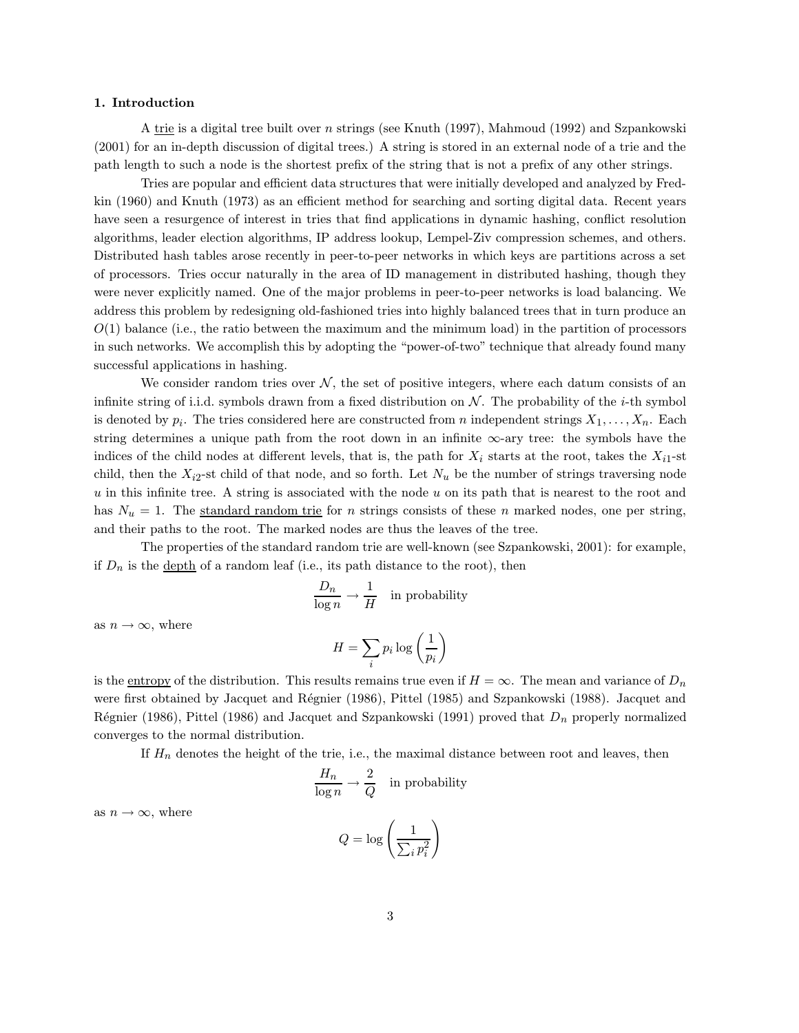## 1. Introduction

A trie is a digital tree built over n strings (see Knuth (1997), Mahmoud (1992) and Szpankowski (2001) for an in-depth discussion of digital trees.) A string is stored in an external node of a trie and the path length to such a node is the shortest prefix of the string that is not a prefix of any other strings.

Tries are popular and efficient data structures that were initially developed and analyzed by Fredkin (1960) and Knuth (1973) as an efficient method for searching and sorting digital data. Recent years have seen a resurgence of interest in tries that find applications in dynamic hashing, conflict resolution algorithms, leader election algorithms, IP address lookup, Lempel-Ziv compression schemes, and others. Distributed hash tables arose recently in peer-to-peer networks in which keys are partitions across a set of processors. Tries occur naturally in the area of ID management in distributed hashing, though they were never explicitly named. One of the major problems in peer-to-peer networks is load balancing. We address this problem by redesigning old-fashioned tries into highly balanced trees that in turn produce an  $O(1)$  balance (i.e., the ratio between the maximum and the minimum load) in the partition of processors in such networks. We accomplish this by adopting the "power-of-two" technique that already found many successful applications in hashing.

We consider random tries over  $\mathcal{N}$ , the set of positive integers, where each datum consists of an infinite string of i.i.d. symbols drawn from a fixed distribution on  $\mathcal N$ . The probability of the *i*-th symbol is denoted by  $p_i$ . The tries considered here are constructed from n independent strings  $X_1, \ldots, X_n$ . Each string determines a unique path from the root down in an infinite  $\infty$ -ary tree: the symbols have the indices of the child nodes at different levels, that is, the path for  $X_i$  starts at the root, takes the  $X_{i1}$ -st child, then the  $X_{i2}$ -st child of that node, and so forth. Let  $N_u$  be the number of strings traversing node  $u$  in this infinite tree. A string is associated with the node  $u$  on its path that is nearest to the root and has  $N_u = 1$ . The standard random trie for *n* strings consists of these *n* marked nodes, one per string, and their paths to the root. The marked nodes are thus the leaves of the tree.

The properties of the standard random trie are well-known (see Szpankowski, 2001): for example, if  $D_n$  is the depth of a random leaf (i.e., its path distance to the root), then

$$
\frac{D_n}{\log n} \to \frac{1}{H} \quad \text{in probability}
$$

as  $n \to \infty$ , where

$$
H = \sum_{i} p_i \log \left(\frac{1}{p_i}\right)
$$

is the <u>entropy</u> of the distribution. This results remains true even if  $H = \infty$ . The mean and variance of  $D_n$ were first obtained by Jacquet and Régnier (1986), Pittel (1985) and Szpankowski (1988). Jacquet and Régnier (1986), Pittel (1986) and Jacquet and Szpankowski (1991) proved that  $D_n$  properly normalized converges to the normal distribution.

If  $H_n$  denotes the height of the trie, i.e., the maximal distance between root and leaves, then

$$
\frac{H_n}{\log n} \to \frac{2}{Q} \quad \text{in probability}
$$

as  $n \to \infty$ , where

$$
Q = \log\left(\frac{1}{\sum_i p_i^2}\right)
$$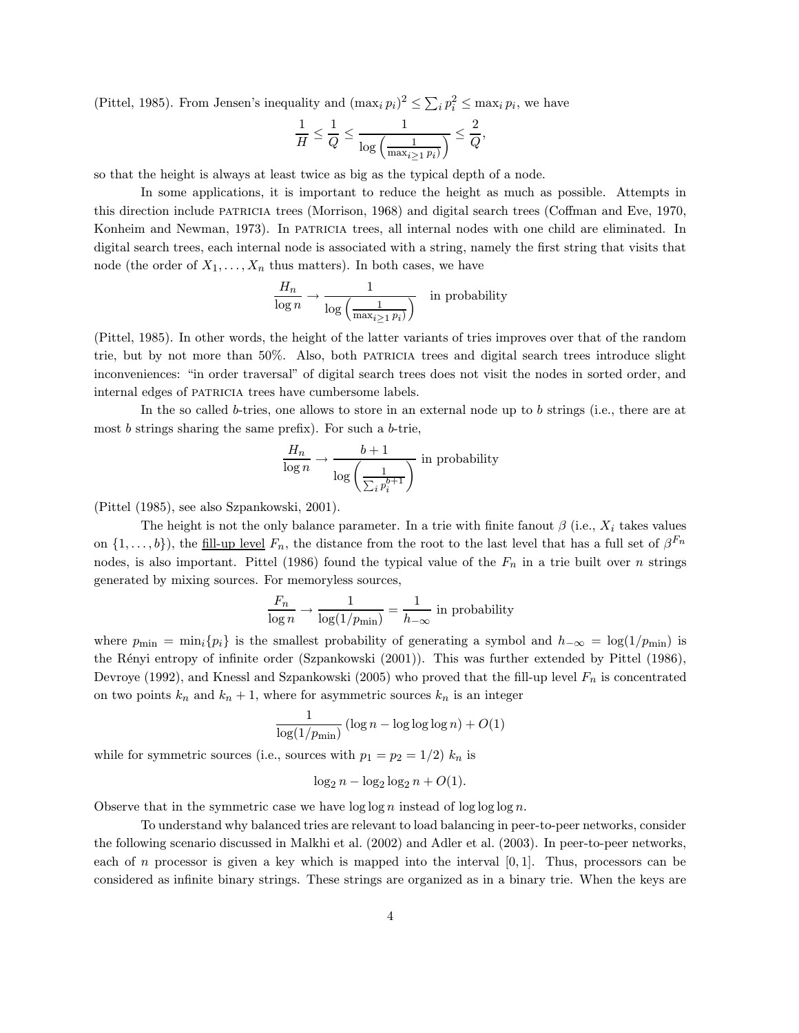(Pittel, 1985). From Jensen's inequality and  $(\max_i p_i)^2 \le \sum_i p_i^2 \le \max_i p_i$ , we have

$$
\frac{1}{H} \leq \frac{1}{Q} \leq \frac{1}{\log\left(\frac{1}{\max_{i \geq 1} p_i\right)} \leq \frac{2}{Q},
$$

so that the height is always at least twice as big as the typical depth of a node.

In some applications, it is important to reduce the height as much as possible. Attempts in this direction include patricia trees (Morrison, 1968) and digital search trees (Coffman and Eve, 1970, Konheim and Newman, 1973). In particlear trees, all internal nodes with one child are eliminated. In digital search trees, each internal node is associated with a string, namely the first string that visits that node (the order of  $X_1, \ldots, X_n$  thus matters). In both cases, we have

$$
\frac{H_n}{\log n} \to \frac{1}{\log \left(\frac{1}{\max_{i \ge 1} p_i\right)}} \quad \text{in probability}
$$

(Pittel, 1985). In other words, the height of the latter variants of tries improves over that of the random trie, but by not more than 50%. Also, both patricia trees and digital search trees introduce slight inconveniences: "in order traversal" of digital search trees does not visit the nodes in sorted order, and internal edges of PATRICIA trees have cumbersome labels.

In the so called b-tries, one allows to store in an external node up to b strings (i.e., there are at most  $b$  strings sharing the same prefix). For such a  $b$ -trie,

$$
\frac{H_n}{\log n} \to \frac{b+1}{\log \left(\frac{1}{\sum_i p_i^{b+1}}\right)} \text{ in probability}
$$

(Pittel (1985), see also Szpankowski, 2001).

The height is not the only balance parameter. In a trie with finite fanout  $\beta$  (i.e.,  $X_i$  takes values on  $\{1,\ldots,b\}$ , the fill-up level  $F_n$ , the distance from the root to the last level that has a full set of  $\beta^{F_n}$ nodes, is also important. Pittel (1986) found the typical value of the  $F_n$  in a trie built over n strings generated by mixing sources. For memoryless sources,

$$
\frac{F_n}{\log n} \to \frac{1}{\log(1/p_{\min})} = \frac{1}{h_{-\infty}} \text{ in probability}
$$

where  $p_{\min} = \min_i \{p_i\}$  is the smallest probability of generating a symbol and  $h_{-\infty} = \log(1/p_{\min})$  is the Rényi entropy of infinite order (Szpankowski (2001)). This was further extended by Pittel (1986), Devroye (1992), and Knessl and Szpankowski (2005) who proved that the fill-up level  $F_n$  is concentrated on two points  $k_n$  and  $k_n + 1$ , where for asymmetric sources  $k_n$  is an integer

$$
\frac{1}{\log(1/p_{\min})} (\log n - \log \log \log n) + O(1)
$$

while for symmetric sources (i.e., sources with  $p_1 = p_2 = 1/2$ )  $k_n$  is

$$
\log_2 n - \log_2 \log_2 n + O(1).
$$

Observe that in the symmetric case we have  $\log \log n$  instead of  $\log \log \log n$ .

To understand why balanced tries are relevant to load balancing in peer-to-peer networks, consider the following scenario discussed in Malkhi et al. (2002) and Adler et al. (2003). In peer-to-peer networks, each of n processor is given a key which is mapped into the interval  $[0, 1]$ . Thus, processors can be considered as infinite binary strings. These strings are organized as in a binary trie. When the keys are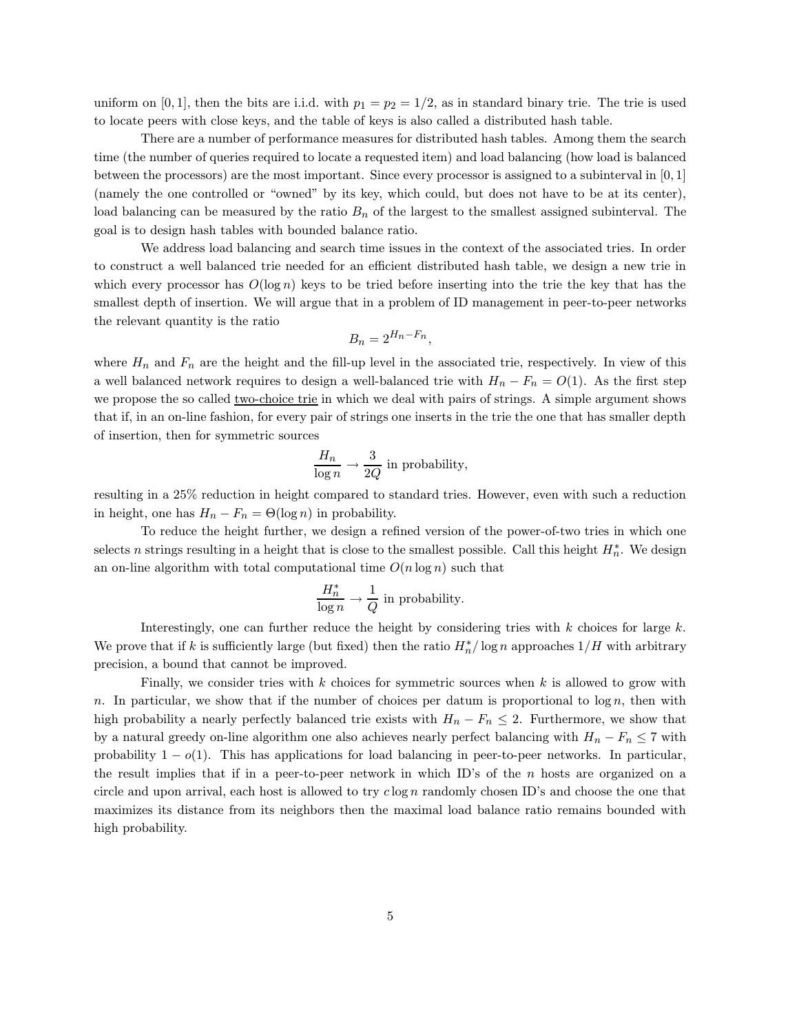uniform on [0, 1], then the bits are i.i.d. with  $p_1 = p_2 = 1/2$ , as in standard binary trie. The trie is used to locate peers with close keys, and the table of keys is also called a distributed hash table.

There are a number of performance measures for distributed hash tables. Among them the search time (the number of queries required to locate a requested item) and load balancing (how load is balanced between the processors) are the most important. Since every processor is assigned to a subinterval in [0, 1] (namely the one controlled or "owned" by its key, which could, but does not have to be at its center), load balancing can be measured by the ratio  $B_n$  of the largest to the smallest assigned subinterval. The goal is to design hash tables with bounded balance ratio.

We address load balancing and search time issues in the context of the associated tries. In order to construct a well balanced trie needed for an efficient distributed hash table, we design a new trie in which every processor has  $O(\log n)$  keys to be tried before inserting into the trie the key that has the smallest depth of insertion. We will argue that in a problem of ID management in peer-to-peer networks the relevant quantity is the ratio

$$
B_n = 2^{H_n - F_n},
$$

where  $H_n$  and  $F_n$  are the height and the fill-up level in the associated trie, respectively. In view of this a well balanced network requires to design a well-balanced trie with  $H_n - F_n = O(1)$ . As the first step we propose the so called <u>two-choice trie</u> in which we deal with pairs of strings. A simple argument shows that if, in an on-line fashion, for every pair of strings one inserts in the trie the one that has smaller depth of insertion, then for symmetric sources

$$
\frac{H_n}{\log n} \to \frac{3}{2Q}
$$
 in probability,

resulting in a 25% reduction in height compared to standard tries. However, even with such a reduction in height, one has  $H_n - F_n = \Theta(\log n)$  in probability.

To reduce the height further, we design a refined version of the power-of-two tries in which one selects n strings resulting in a height that is close to the smallest possible. Call this height  $H_n^*$ . We design an on-line algorithm with total computational time  $O(n \log n)$  such that

$$
\frac{H_n^*}{\log n} \to \frac{1}{Q}
$$
 in probability.

Interestingly, one can further reduce the height by considering tries with  $k$  choices for large  $k$ . We prove that if k is sufficiently large (but fixed) then the ratio  $H_n^* / \log n$  approaches  $1/H$  with arbitrary precision, a bound that cannot be improved.

Finally, we consider tries with  $k$  choices for symmetric sources when  $k$  is allowed to grow with n. In particular, we show that if the number of choices per datum is proportional to  $\log n$ , then with high probability a nearly perfectly balanced trie exists with  $H_n - F_n \leq 2$ . Furthermore, we show that by a natural greedy on-line algorithm one also achieves nearly perfect balancing with  $H_n - F_n \leq 7$  with probability  $1 - o(1)$ . This has applications for load balancing in peer-to-peer networks. In particular, the result implies that if in a peer-to-peer network in which ID's of the  $n$  hosts are organized on a circle and upon arrival, each host is allowed to try  $c \log n$  randomly chosen ID's and choose the one that maximizes its distance from its neighbors then the maximal load balance ratio remains bounded with high probability.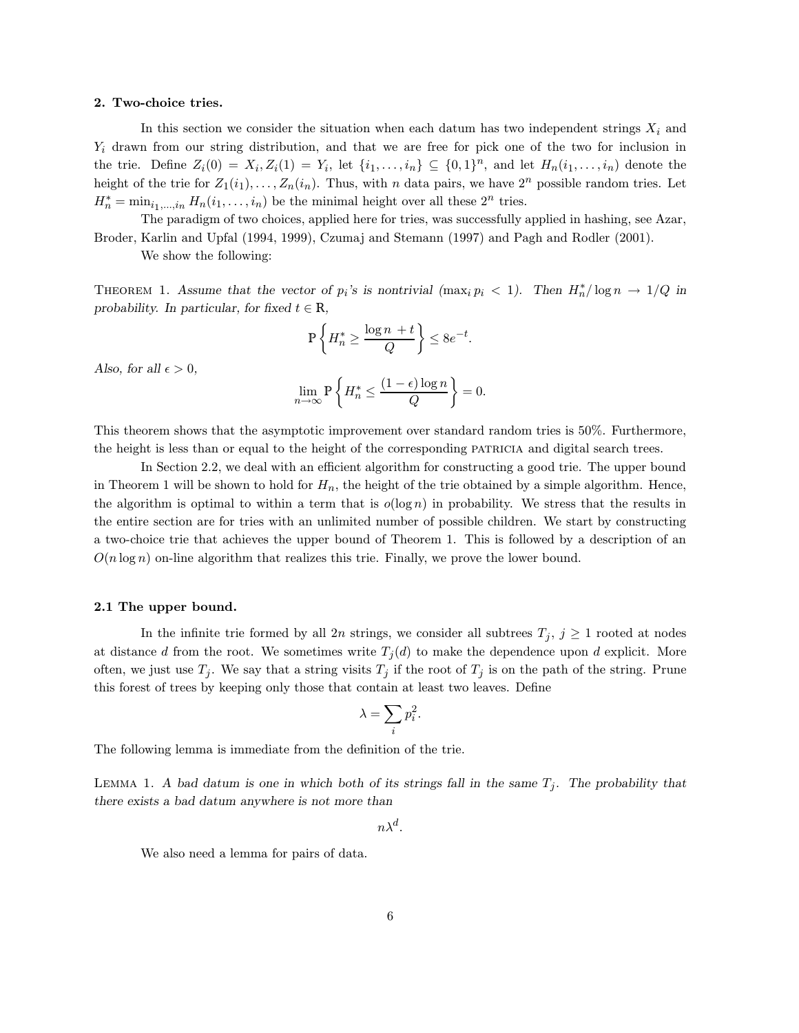## 2. Two-choice tries.

In this section we consider the situation when each datum has two independent strings  $X_i$  and  $Y_i$  drawn from our string distribution, and that we are free for pick one of the two for inclusion in the trie. Define  $Z_i(0) = X_i, Z_i(1) = Y_i$ , let  $\{i_1, ..., i_n\} \subseteq \{0, 1\}^n$ , and let  $H_n(i_1, ..., i_n)$  denote the height of the trie for  $Z_1(i_1), \ldots, Z_n(i_n)$ . Thus, with n data pairs, we have  $2^n$  possible random tries. Let  $H_n^* = \min_{i_1,\ldots,i_n} H_n(i_1,\ldots,i_n)$  be the minimal height over all these  $2^n$  tries.

The paradigm of two choices, applied here for tries, was successfully applied in hashing, see Azar, Broder, Karlin and Upfal (1994, 1999), Czumaj and Stemann (1997) and Pagh and Rodler (2001).

We show the following:

THEOREM 1. Assume that the vector of  $p_i$ 's is nontrivial (max<sub>i</sub>  $p_i < 1$ ). Then  $H_n^* / \log n \to 1/Q$  in probability. In particular, for fixed  $t \in \mathbb{R}$ ,

$$
\mathbf{P}\left\{H_n^* \geq \frac{\log n\ +t}{Q}\right\} \leq 8e^{-t}.
$$

Also, for all  $\epsilon > 0$ ,

$$
\lim_{n \to \infty} \mathbb{P}\left\{ H_n^* \le \frac{(1 - \epsilon) \log n}{Q} \right\} = 0.
$$

This theorem shows that the asymptotic improvement over standard random tries is 50%. Furthermore, the height is less than or equal to the height of the corresponding patricia and digital search trees.

In Section 2.2, we deal with an efficient algorithm for constructing a good trie. The upper bound in Theorem 1 will be shown to hold for  $H_n$ , the height of the trie obtained by a simple algorithm. Hence, the algorithm is optimal to within a term that is  $o(\log n)$  in probability. We stress that the results in the entire section are for tries with an unlimited number of possible children. We start by constructing a two-choice trie that achieves the upper bound of Theorem 1. This is followed by a description of an  $O(n \log n)$  on-line algorithm that realizes this trie. Finally, we prove the lower bound.

## 2.1 The upper bound.

In the infinite trie formed by all 2n strings, we consider all subtrees  $T_j$ ,  $j \geq 1$  rooted at nodes at distance d from the root. We sometimes write  $T_j(d)$  to make the dependence upon d explicit. More often, we just use  $T_j$ . We say that a string visits  $T_j$  if the root of  $T_j$  is on the path of the string. Prune this forest of trees by keeping only those that contain at least two leaves. Define

$$
\lambda = \sum_i p_i^2.
$$

The following lemma is immediate from the definition of the trie.

LEMMA 1. A bad datum is one in which both of its strings fall in the same  $T_j$ . The probability that there exists a bad datum anywhere is not more than

 $n\lambda^d$ .

We also need a lemma for pairs of data.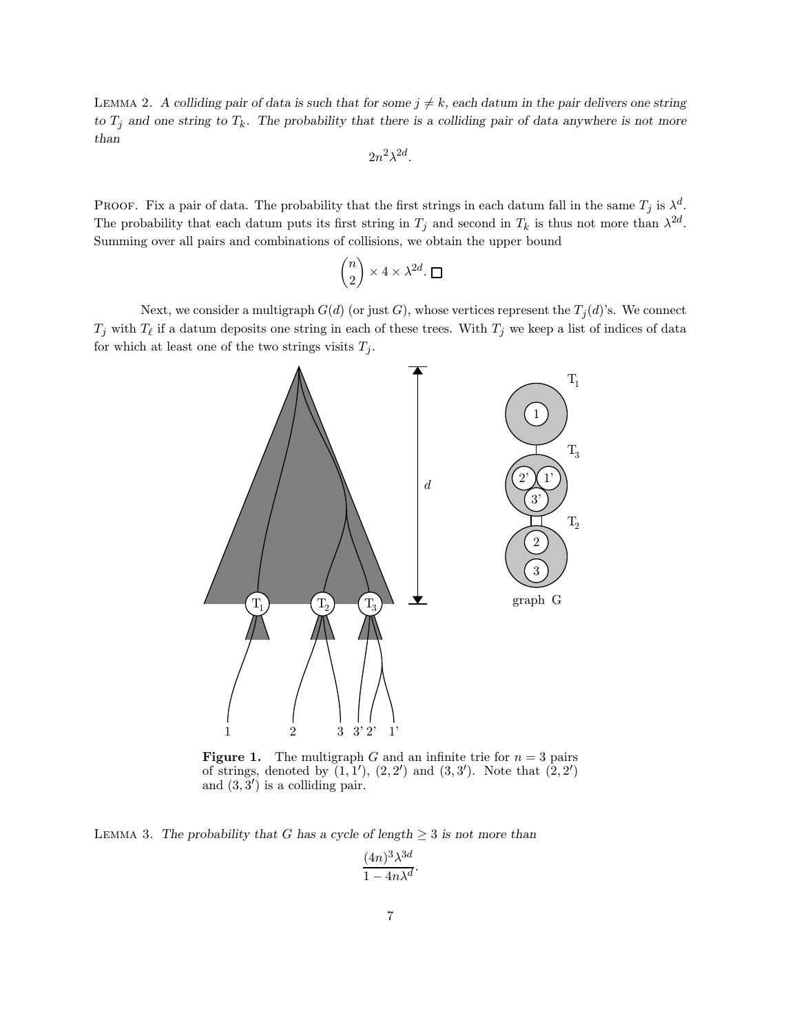LEMMA 2. A colliding pair of data is such that for some  $j \neq k$ , each datum in the pair delivers one string to  $T_j$  and one string to  $T_k$ . The probability that there is a colliding pair of data anywhere is not more than

$$
2n^2\lambda^{2d}.
$$

PROOF. Fix a pair of data. The probability that the first strings in each datum fall in the same  $T_j$  is  $\lambda^d$ . The probability that each datum puts its first string in  $T_j$  and second in  $T_k$  is thus not more than  $\lambda^{2d}$ . Summing over all pairs and combinations of collisions, we obtain the upper bound

$$
\binom{n}{2}\times 4\times \lambda^{2d}.\;\Box
$$

Next, we consider a multigraph  $G(d)$  (or just G), whose vertices represent the  $T_j(d)$ 's. We connect  $T_j$  with  $T_\ell$  if a datum deposits one string in each of these trees. With  $T_j$  we keep a list of indices of data for which at least one of the two strings visits  $T_j$ .



**Figure 1.** The multigraph G and an infinite trie for  $n = 3$  pairs of strings, denoted by  $(1,1')$ ,  $(2,2')$  and  $(3,3')$ . Note that  $(2,2')$ and  $(3,3')$  is a colliding pair.

LEMMA 3. The probability that G has a cycle of length  $\geq$  3 is not more than

$$
\frac{(4n)^3 \lambda^{3d}}{1 - 4n\lambda^d}.
$$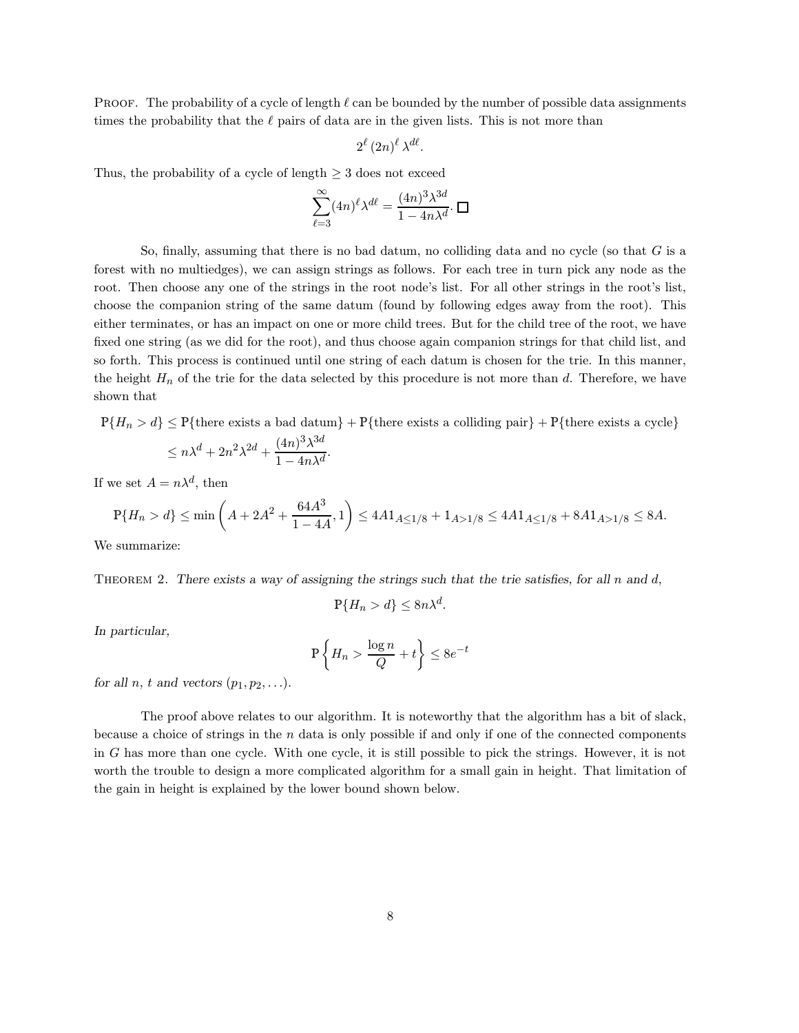**PROOF.** The probability of a cycle of length  $\ell$  can be bounded by the number of possible data assignments times the probability that the  $\ell$  pairs of data are in the given lists. This is not more than

$$
2^{\ell} (2n)^{\ell} \lambda^{d\ell}.
$$

Thus, the probability of a cycle of length  $\geq$  3 does not exceed

$$
\sum_{\ell=3}^{\infty} (4n)^{\ell} \lambda^{d\ell} = \frac{(4n)^3 \lambda^{3d}}{1 - 4n\lambda^d} \cdot \square
$$

So, finally, assuming that there is no bad datum, no colliding data and no cycle (so that  $G$  is a forest with no multiedges), we can assign strings as follows. For each tree in turn pick any node as the root. Then choose any one of the strings in the root node's list. For all other strings in the root's list, choose the companion string of the same datum (found by following edges away from the root). This either terminates, or has an impact on one or more child trees. But for the child tree of the root, we have fixed one string (as we did for the root), and thus choose again companion strings for that child list, and so forth. This process is continued until one string of each datum is chosen for the trie. In this manner, the height  $H_n$  of the trie for the data selected by this procedure is not more than d. Therefore, we have shown that

 $P{H_n > d} \le P{\text{there exists a bad datum}} + P{\text{there exists a colliding pair}} + P{\text{there exists a cycle}}$  $\leq n\lambda^d+2n^2\lambda^{2d}+\frac{(4n)^3\lambda^{3d}}{1-4n\lambda^d}$  $\frac{(1+i)^{n}}{1-4n\lambda^d}$ .

If we set  $A = n\lambda^d$ , then

$$
\mathbb{P}\{H_n > d\} \le \min\left(A + 2A^2 + \frac{64A^3}{1 - 4A}, 1\right) \le 4A1_{A \le 1/8} + 1_{A > 1/8} \le 4A1_{A \le 1/8} + 8A1_{A > 1/8} \le 8A.
$$

We summarize:

THEOREM 2. There exists a way of assigning the strings such that the trie satisfies, for all  $n$  and  $d$ ,

$$
\mathbb{P}\{H_n > d\} \le 8n\lambda^d.
$$

In particular,

$$
\mathbb{P}\left\{H_n > \frac{\log n}{Q} + t\right\} \le 8e^{-t}
$$

for all n, t and vectors  $(p_1, p_2, \ldots)$ .

The proof above relates to our algorithm. It is noteworthy that the algorithm has a bit of slack, because a choice of strings in the  $n$  data is only possible if and only if one of the connected components in G has more than one cycle. With one cycle, it is still possible to pick the strings. However, it is not worth the trouble to design a more complicated algorithm for a small gain in height. That limitation of the gain in height is explained by the lower bound shown below.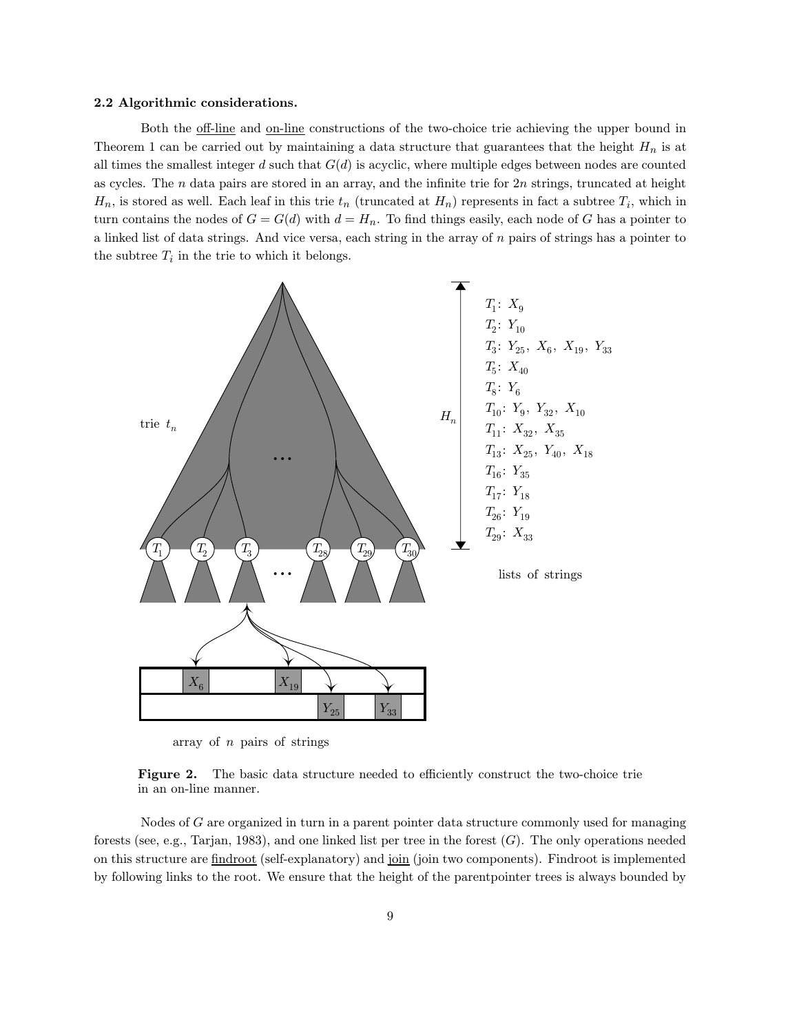### 2.2 Algorithmic considerations.

Both the <u>off-line</u> and <u>on-line</u> constructions of the two-choice trie achieving the upper bound in Theorem 1 can be carried out by maintaining a data structure that guarantees that the height  $H_n$  is at all times the smallest integer d such that  $G(d)$  is acyclic, where multiple edges between nodes are counted as cycles. The  $n$  data pairs are stored in an array, and the infinite trie for  $2n$  strings, truncated at height  $H_n$ , is stored as well. Each leaf in this trie  $t_n$  (truncated at  $H_n$ ) represents in fact a subtree  $T_i$ , which in turn contains the nodes of  $G = G(d)$  with  $d = H_n$ . To find things easily, each node of G has a pointer to a linked list of data strings. And vice versa, each string in the array of  $n$  pairs of strings has a pointer to the subtree  $T_i$  in the trie to which it belongs.



array of n pairs of strings

Figure 2. The basic data structure needed to efficiently construct the two-choice trie in an on-line manner.

Nodes of G are organized in turn in a parent pointer data structure commonly used for managing forests (see, e.g., Tarjan, 1983), and one linked list per tree in the forest (G). The only operations needed on this structure are findroot (self-explanatory) and join (join two components). Findroot is implemented by following links to the root. We ensure that the height of the parentpointer trees is always bounded by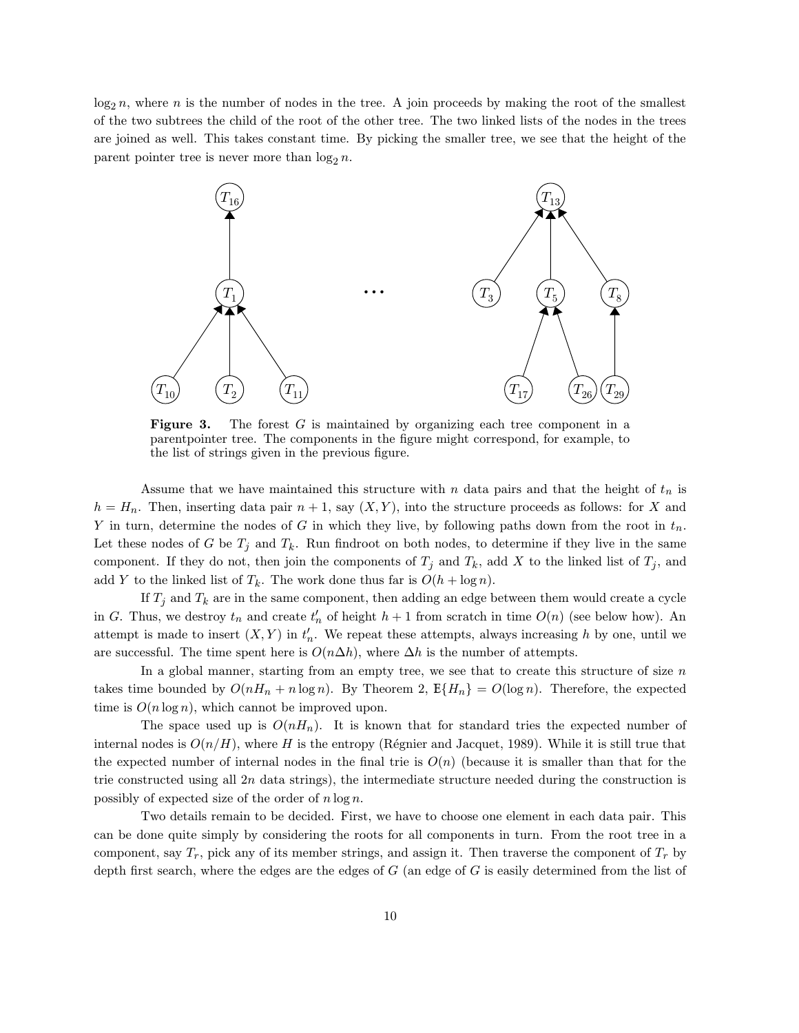$\log_2 n$ , where n is the number of nodes in the tree. A join proceeds by making the root of the smallest of the two subtrees the child of the root of the other tree. The two linked lists of the nodes in the trees are joined as well. This takes constant time. By picking the smaller tree, we see that the height of the parent pointer tree is never more than  $\log_2 n$ .



**Figure 3.** The forest  $G$  is maintained by organizing each tree component in a parentpointer tree. The components in the figure might correspond, for example, to the list of strings given in the previous figure.

Assume that we have maintained this structure with n data pairs and that the height of  $t_n$  is  $h = H_n$ . Then, inserting data pair  $n + 1$ , say  $(X, Y)$ , into the structure proceeds as follows: for X and Y in turn, determine the nodes of G in which they live, by following paths down from the root in  $t_n$ . Let these nodes of G be  $T_j$  and  $T_k$ . Run findroot on both nodes, to determine if they live in the same component. If they do not, then join the components of  $T_j$  and  $T_k$ , add X to the linked list of  $T_j$ , and add Y to the linked list of  $T_k$ . The work done thus far is  $O(h + \log n)$ .

If  $T_j$  and  $T_k$  are in the same component, then adding an edge between them would create a cycle in G. Thus, we destroy  $t_n$  and create  $t'_n$  of height  $h + 1$  from scratch in time  $O(n)$  (see below how). An attempt is made to insert  $(X, Y)$  in  $t'_n$ . We repeat these attempts, always increasing h by one, until we are successful. The time spent here is  $O(n\Delta h)$ , where  $\Delta h$  is the number of attempts.

In a global manner, starting from an empty tree, we see that to create this structure of size  $n$ takes time bounded by  $O(nH_n + n \log n)$ . By Theorem 2,  $E\{H_n\} = O(\log n)$ . Therefore, the expected time is  $O(n \log n)$ , which cannot be improved upon.

The space used up is  $O(nH_n)$ . It is known that for standard tries the expected number of internal nodes is  $O(n/H)$ , where H is the entropy (Régnier and Jacquet, 1989). While it is still true that the expected number of internal nodes in the final trie is  $O(n)$  (because it is smaller than that for the trie constructed using all  $2n$  data strings), the intermediate structure needed during the construction is possibly of expected size of the order of  $n \log n$ .

Two details remain to be decided. First, we have to choose one element in each data pair. This can be done quite simply by considering the roots for all components in turn. From the root tree in a component, say  $T_r$ , pick any of its member strings, and assign it. Then traverse the component of  $T_r$  by depth first search, where the edges are the edges of  $G$  (an edge of  $G$  is easily determined from the list of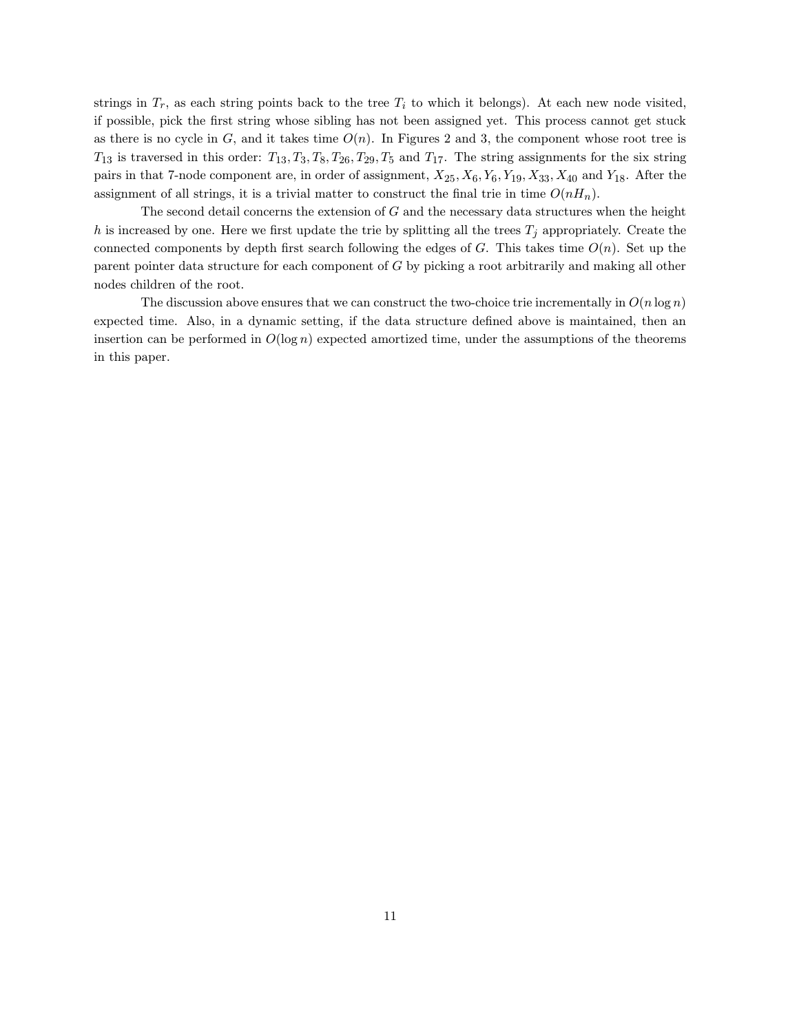strings in  $T_r$ , as each string points back to the tree  $T_i$  to which it belongs). At each new node visited, if possible, pick the first string whose sibling has not been assigned yet. This process cannot get stuck as there is no cycle in  $G$ , and it takes time  $O(n)$ . In Figures 2 and 3, the component whose root tree is  $T_{13}$  is traversed in this order:  $T_{13}$ ,  $T_3$ ,  $T_3$ ,  $T_{26}$ ,  $T_{29}$ ,  $T_5$  and  $T_{17}$ . The string assignments for the six string pairs in that 7-node component are, in order of assignment,  $X_{25}$ ,  $X_6$ ,  $Y_6$ ,  $Y_{19}$ ,  $X_{33}$ ,  $X_{40}$  and  $Y_{18}$ . After the assignment of all strings, it is a trivial matter to construct the final trie in time  $O(nH_n)$ .

The second detail concerns the extension of  $G$  and the necessary data structures when the height h is increased by one. Here we first update the trie by splitting all the trees  $T_j$  appropriately. Create the connected components by depth first search following the edges of  $G$ . This takes time  $O(n)$ . Set up the parent pointer data structure for each component of G by picking a root arbitrarily and making all other nodes children of the root.

The discussion above ensures that we can construct the two-choice trie incrementally in  $O(n \log n)$ expected time. Also, in a dynamic setting, if the data structure defined above is maintained, then an insertion can be performed in  $O(\log n)$  expected amortized time, under the assumptions of the theorems in this paper.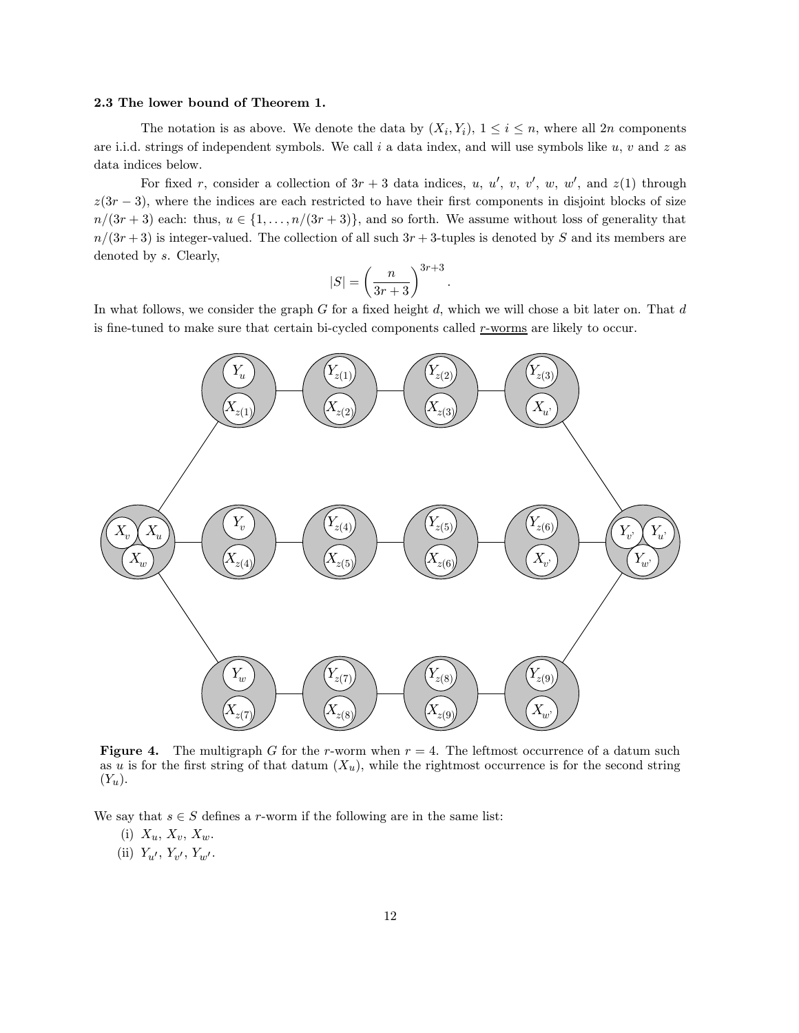## 2.3 The lower bound of Theorem 1.

The notation is as above. We denote the data by  $(X_i, Y_i)$ ,  $1 \leq i \leq n$ , where all  $2n$  components are i.i.d. strings of independent symbols. We call i a data index, and will use symbols like  $u, v$  and  $z$  as data indices below.

For fixed r, consider a collection of  $3r + 3$  data indices, u, u', v, v', w, w', and  $z(1)$  through  $z(3r-3)$ , where the indices are each restricted to have their first components in disjoint blocks of size  $n/(3r+3)$  each: thus,  $u \in \{1,\ldots,n/(3r+3)\}$ , and so forth. We assume without loss of generality that  $n/(3r+3)$  is integer-valued. The collection of all such  $3r+3$ -tuples is denoted by S and its members are denoted by s. Clearly,

$$
|S| = \left(\frac{n}{3r+3}\right)^{3r+3}.
$$

In what follows, we consider the graph  $G$  for a fixed height  $d$ , which we will chose a bit later on. That  $d$ is fine-tuned to make sure that certain bi-cycled components called r-worms are likely to occur.



**Figure 4.** The multigraph G for the r-worm when  $r = 4$ . The leftmost occurrence of a datum such as u is for the first string of that datum  $(X_u)$ , while the rightmost occurrence is for the second string  $(Y_u)$ .

We say that  $s \in S$  defines a r-worm if the following are in the same list:

- (i)  $X_u$ ,  $X_v$ ,  $X_w$ .
- (ii)  $Y_{u'}, Y_{v'}, Y_{w'}$ .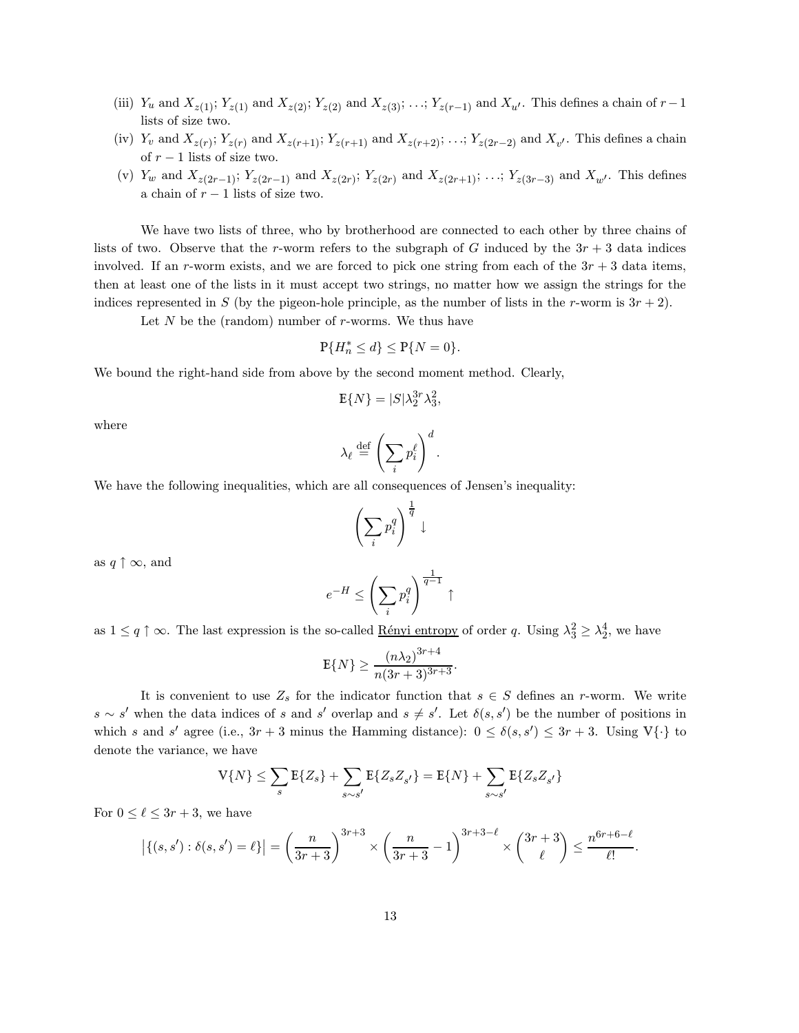- (iii)  $Y_u$  and  $X_{z(1)}$ ;  $Y_{z(1)}$  and  $X_{z(2)}$ ;  $Y_{z(2)}$  and  $X_{z(3)}$ ; ...;  $Y_{z(r-1)}$  and  $X_{u'}$ . This defines a chain of  $r-1$ lists of size two.
- (iv)  $Y_v$  and  $X_{z(r)}$ ;  $Y_{z(r)}$  and  $X_{z(r+1)}$ ;  $Y_{z(r+1)}$  and  $X_{z(r+2)}$ ; ...;  $Y_{z(2r-2)}$  and  $X_{v'}$ . This defines a chain of  $r - 1$  lists of size two.
- (v)  $Y_w$  and  $X_{z(2r-1)}$ ;  $Y_{z(2r-1)}$  and  $X_{z(2r)}$ ;  $Y_{z(2r)}$  and  $X_{z(2r+1)}$ ; ...;  $Y_{z(3r-3)}$  and  $X_{w'}$ . This defines a chain of  $r - 1$  lists of size two.

We have two lists of three, who by brotherhood are connected to each other by three chains of lists of two. Observe that the r-worm refers to the subgraph of G induced by the  $3r + 3$  data indices involved. If an r-worm exists, and we are forced to pick one string from each of the  $3r + 3$  data items, then at least one of the lists in it must accept two strings, no matter how we assign the strings for the indices represented in S (by the pigeon-hole principle, as the number of lists in the r-worm is  $3r + 2$ ).

Let  $N$  be the (random) number of  $r$ -worms. We thus have

$$
\mathbb{P}\{H_n^* \le d\} \le \mathbb{P}\{N=0\}.
$$

We bound the right-hand side from above by the second moment method. Clearly,

$$
\mathbb{E}\{N\} = |S|\lambda_2^{3r}\lambda_3^2,
$$

where

$$
\lambda_{\ell} \stackrel{\text{def}}{=} \left(\sum_{i} p_i^{\ell}\right)^d.
$$

We have the following inequalities, which are all consequences of Jensen's inequality:

$$
\left(\sum_i p_i^q\right)^{\frac{1}{q}} \downarrow
$$

as  $q \uparrow \infty$ , and

$$
e^{-H}\leq \left(\sum_i p_i^q\right)^{\frac{1}{q-1}}\uparrow
$$

as  $1 \le q \uparrow \infty$ . The last expression is the so-called <u>Rényi entropy</u> of order q. Using  $\lambda_3^2 \ge \lambda_2^4$ , we have

$$
\mathbb{E}\{N\} \ge \frac{(n\lambda_2)^{3r+4}}{n(3r+3)^{3r+3}}.
$$

It is convenient to use  $Z_s$  for the indicator function that  $s \in S$  defines an r-worm. We write  $s \sim s'$  when the data indices of s and s' overlap and  $s \neq s'$ . Let  $\delta(s, s')$  be the number of positions in which s and s' agree (i.e.,  $3r + 3$  minus the Hamming distance):  $0 \leq \delta(s, s') \leq 3r + 3$ . Using  $V\{\cdot\}$  to denote the variance, we have

$$
V\{N\} \le \sum_{s} E\{Z_{s}\} + \sum_{s \sim s'} E\{Z_{s}Z_{s'}\} = E\{N\} + \sum_{s \sim s'} E\{Z_{s}Z_{s'}\}
$$

For  $0 \leq \ell \leq 3r + 3$ , we have

$$
|\{(s,s'): \delta(s,s') = \ell\}| = \left(\frac{n}{3r+3}\right)^{3r+3} \times \left(\frac{n}{3r+3} - 1\right)^{3r+3-\ell} \times \binom{3r+3}{\ell} \le \frac{n^{6r+6-\ell}}{\ell!}.
$$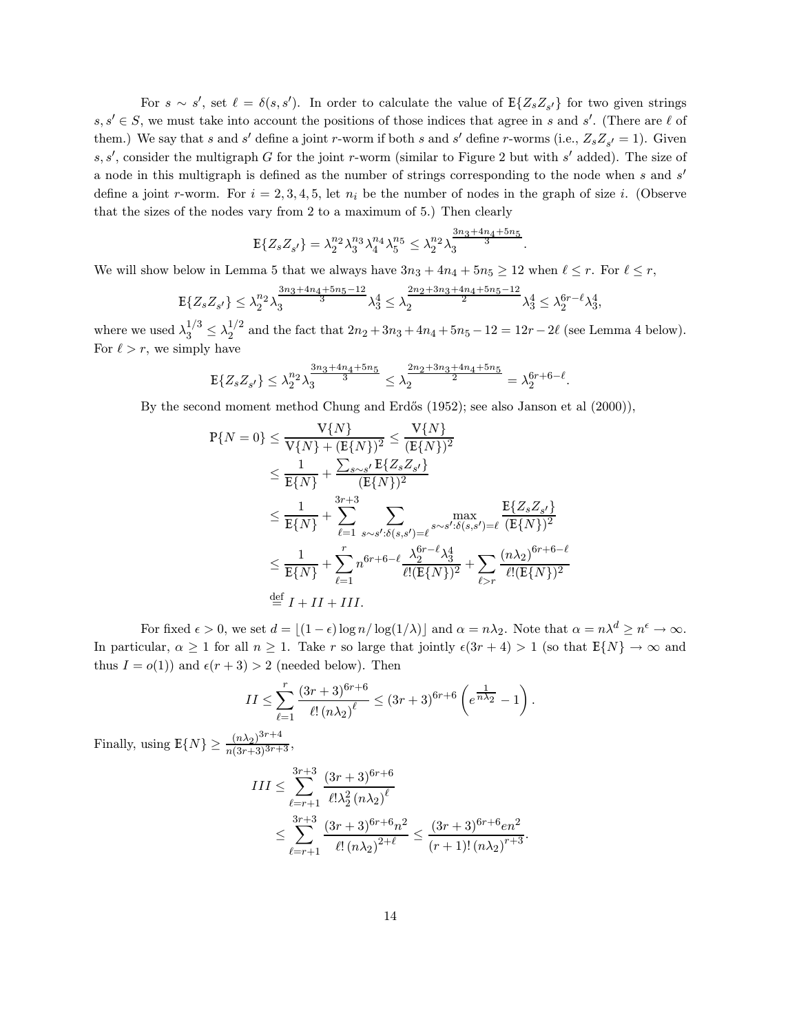For  $s \sim s'$ , set  $\ell = \delta(s, s')$ . In order to calculate the value of  $E{Z_s Z_{s'}}$  for two given strings  $s, s' \in S$ , we must take into account the positions of those indices that agree in s and s'. (There are  $\ell$  of them.) We say that s and s' define a joint r-worm if both s and s' define r-worms (i.e.,  $Z_s Z_{s'} = 1$ ). Given s, s', consider the multigraph G for the joint r-worm (similar to Figure 2 but with s' added). The size of a node in this multigraph is defined as the number of strings corresponding to the node when  $s$  and  $s'$ define a joint r-worm. For  $i = 2, 3, 4, 5$ , let  $n_i$  be the number of nodes in the graph of size i. (Observe that the sizes of the nodes vary from 2 to a maximum of 5.) Then clearly

$$
E\{Z_s Z_{s'}\} = \lambda_2^{n_2} \lambda_3^{n_3} \lambda_4^{n_4} \lambda_5^{n_5} \le \lambda_2^{n_2} \lambda_3^{\frac{3n_3 + 4n_4 + 5n_5}{3}}.
$$

We will show below in Lemma 5 that we always have  $3n_3 + 4n_4 + 5n_5 \ge 12$  when  $\ell \le r$ . For  $\ell \le r$ ,

$$
\mathbb{E}\{Z_s Z_{s'}\} \le \lambda_2^{n_2} \lambda_3^{\frac{3n_3 + 4n_4 + 5n_5 - 12}{3}} \lambda_3^4 \le \lambda_2^{\frac{2n_2 + 3n_3 + 4n_4 + 5n_5 - 12}{2}} \lambda_3^4 \le \lambda_2^{6r - \ell} \lambda_3^4,
$$

where we used  $\lambda_3^{1/3} \leq \lambda_2^{1/2}$  $\frac{1}{2}$  and the fact that  $2n_2 + 3n_3 + 4n_4 + 5n_5 - 12 = 12r - 2\ell$  (see Lemma 4 below). For  $\ell > r$ , we simply have

$$
\mathbb{E}\{Z_s Z_{s'}\} \leq \lambda_2^{n_2} \lambda_3^{\frac{3n_3 + 4n_4 + 5n_5}{3}} \leq \lambda_2^{\frac{2n_2 + 3n_3 + 4n_4 + 5n_5}{2}} = \lambda_2^{6r + 6 - \ell}.
$$

By the second moment method Chung and Erdős (1952); see also Janson et al (2000)),

$$
P{N = 0} \le \frac{V{N}}{V{N} + (E{N})^2} \le \frac{V{N}}{(E{N})^2}
$$
  
\n
$$
\le \frac{1}{E{N}} + \frac{\sum_{s \sim s'} E{Z_s Z_{s'}}}{(E{N})^2}
$$
  
\n
$$
\le \frac{1}{E{N}} + \sum_{\ell=1}^{3r+3} \sum_{s \sim s': \delta(s,s') = \ell} \max_{s \sim s': \delta(s,s') = \ell} \frac{E{Z_s Z_{s'}}}{(E{N})^2}
$$
  
\n
$$
\le \frac{1}{E{N}} + \sum_{\ell=1}^r n^{6r+6-\ell} \frac{\lambda_2^{6r-\ell} \lambda_3^4}{\ell! (E{N})^2} + \sum_{\ell>r} \frac{(n\lambda_2)^{6r+6-\ell}}{\ell! (E{N})^2}
$$
  
\n
$$
\stackrel{\text{def}}{=} I + II + III.
$$

For fixed  $\epsilon > 0$ , we set  $d = \lfloor (1 - \epsilon) \log n / \log(1/\lambda) \rfloor$  and  $\alpha = n\lambda_2$ . Note that  $\alpha = n\lambda^d \ge n^{\epsilon} \to \infty$ . In particular,  $\alpha \geq 1$  for all  $n \geq 1$ . Take r so large that jointly  $\epsilon(3r+4) > 1$  (so that  $E\{N\} \to \infty$  and thus  $I = o(1)$  and  $\epsilon(r + 3) > 2$  (needed below). Then

$$
II \le \sum_{\ell=1}^r \frac{(3r+3)^{6r+6}}{\ell!\left(n\lambda_2\right)^{\ell}} \le (3r+3)^{6r+6} \left(e^{\frac{1}{n\lambda_2}} - 1\right).
$$

Finally, using  $E\{N\} \ge \frac{(n\lambda_2)^{3r+4}}{n(3r+3)^{3r+3}}$ ,

$$
III \leq \sum_{\ell=r+1}^{3r+3} \frac{(3r+3)^{6r+6}}{\ell! \lambda_2^2 (n \lambda_2)^{\ell}} \leq \sum_{\ell=r+1}^{3r+3} \frac{(3r+3)^{6r+6} n^2}{\ell! (n \lambda_2)^{2+\ell}} \leq \frac{(3r+3)^{6r+6} e n^2}{(r+1)! (n \lambda_2)^{r+3}}.
$$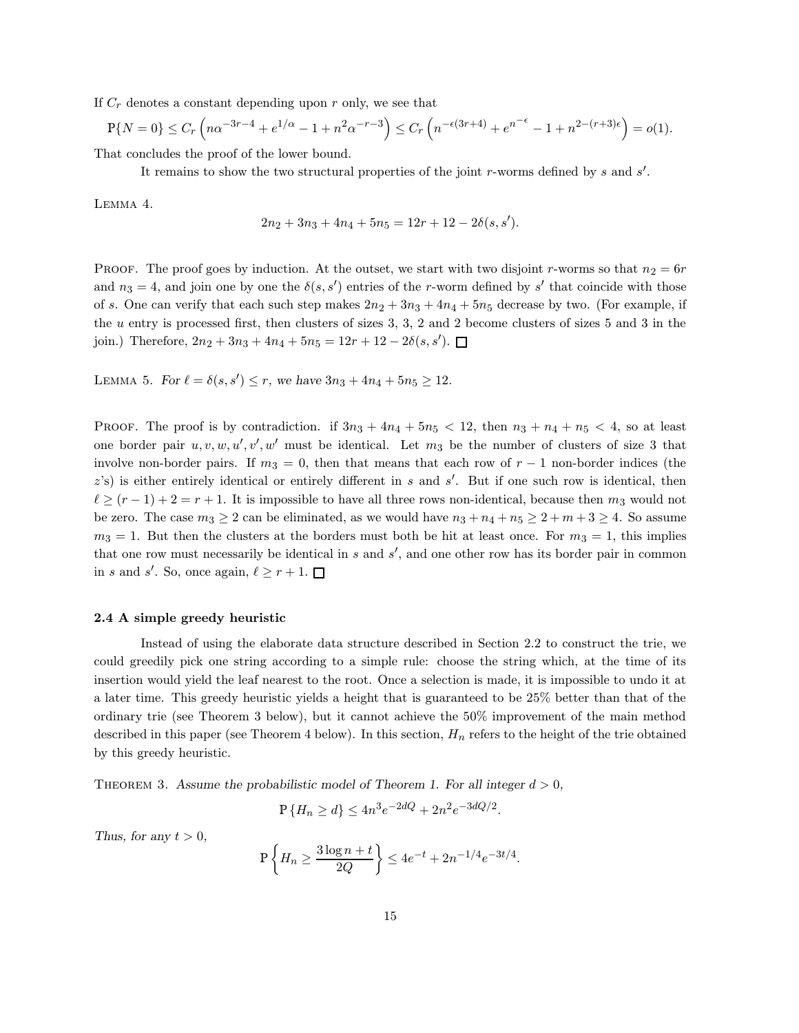If  $C_r$  denotes a constant depending upon r only, we see that

$$
\mathbb{P}\{N=0\} \le C_r \left(n\alpha^{-3r-4} + e^{1/\alpha} - 1 + n^2 \alpha^{-r-3}\right) \le C_r \left(n^{-\epsilon(3r+4)} + e^{n^{-\epsilon}} - 1 + n^{2-(r+3)\epsilon}\right) = o(1).
$$

That concludes the proof of the lower bound.

It remains to show the two structural properties of the joint r-worms defined by s and  $s'$ .

Lemma 4.

$$
2n_2 + 3n_3 + 4n_4 + 5n_5 = 12r + 12 - 2\delta(s, s').
$$

PROOF. The proof goes by induction. At the outset, we start with two disjoint r-worms so that  $n_2 = 6r$ and  $n_3 = 4$ , and join one by one the  $\delta(s, s')$  entries of the r-worm defined by s' that coincide with those of s. One can verify that each such step makes  $2n_2 + 3n_3 + 4n_4 + 5n_5$  decrease by two. (For example, if the u entry is processed first, then clusters of sizes 3, 3, 2 and 2 become clusters of sizes 5 and 3 in the join.) Therefore,  $2n_2 + 3n_3 + 4n_4 + 5n_5 = 12r + 12 - 2\delta(s, s').$ 

LEMMA 5. For  $\ell = \delta(s, s') \le r$ , we have  $3n_3 + 4n_4 + 5n_5 \ge 12$ .

PROOF. The proof is by contradiction. if  $3n_3 + 4n_4 + 5n_5 < 12$ , then  $n_3 + n_4 + n_5 < 4$ , so at least one border pair  $u, v, w, u', v', w'$  must be identical. Let  $m_3$  be the number of clusters of size 3 that involve non-border pairs. If  $m_3 = 0$ , then that means that each row of  $r - 1$  non-border indices (the  $z$ 's) is either entirely identical or entirely different in s and s'. But if one such row is identical, then  $\ell \ge (r - 1) + 2 = r + 1$ . It is impossible to have all three rows non-identical, because then  $m_3$  would not be zero. The case  $m_3 \geq 2$  can be eliminated, as we would have  $n_3 + n_4 + n_5 \geq 2 + m + 3 \geq 4$ . So assume  $m_3 = 1$ . But then the clusters at the borders must both be hit at least once. For  $m_3 = 1$ , this implies that one row must necessarily be identical in  $s$  and  $s'$ , and one other row has its border pair in common in s and s'. So, once again,  $\ell \ge r + 1$ .

## 2.4 A simple greedy heuristic

Instead of using the elaborate data structure described in Section 2.2 to construct the trie, we could greedily pick one string according to a simple rule: choose the string which, at the time of its insertion would yield the leaf nearest to the root. Once a selection is made, it is impossible to undo it at a later time. This greedy heuristic yields a height that is guaranteed to be 25% better than that of the ordinary trie (see Theorem 3 below), but it cannot achieve the 50% improvement of the main method described in this paper (see Theorem 4 below). In this section,  $H_n$  refers to the height of the trie obtained by this greedy heuristic.

THEOREM 3. Assume the probabilistic model of Theorem 1. For all integer  $d > 0$ ,

$$
P\{H_n \ge d\} \le 4n^3e^{-2dQ} + 2n^2e^{-3dQ/2}.
$$

Thus, for any  $t > 0$ ,

$$
P\left\{H_n \ge \frac{3\log n + t}{2Q}\right\} \le 4e^{-t} + 2n^{-1/4}e^{-3t/4}.
$$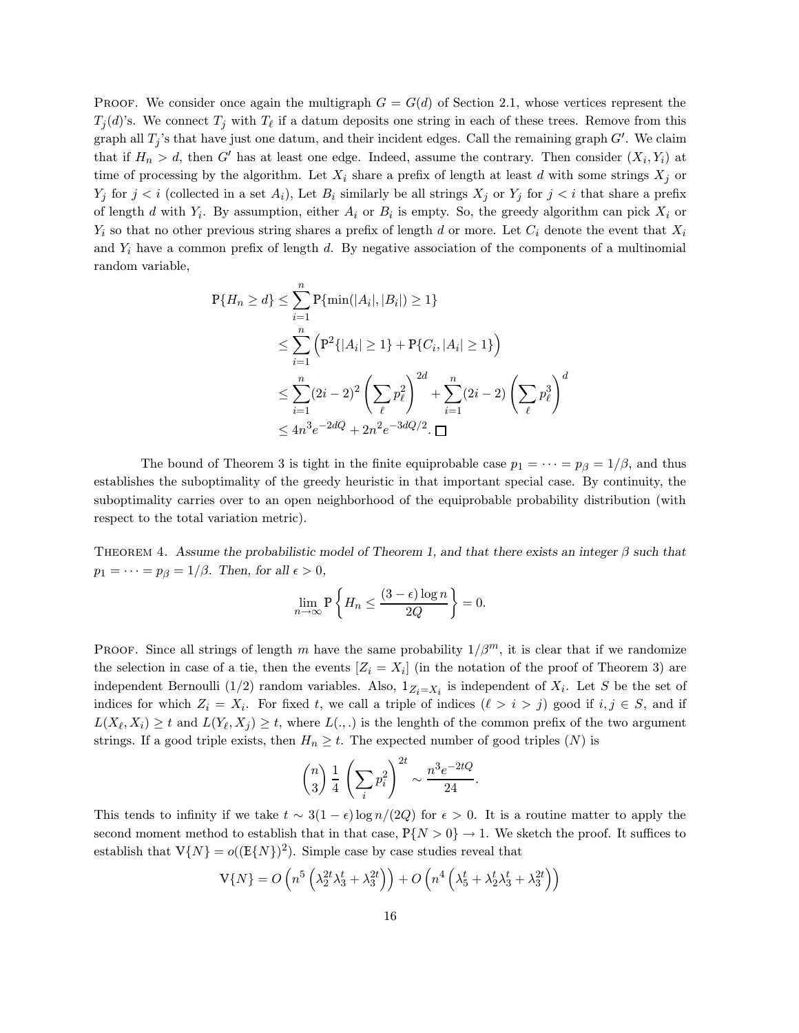PROOF. We consider once again the multigraph  $G = G(d)$  of Section 2.1, whose vertices represent the  $T_j(d)$ 's. We connect  $T_j$  with  $T_\ell$  if a datum deposits one string in each of these trees. Remove from this graph all  $T_j$ 's that have just one datum, and their incident edges. Call the remaining graph  $G'$ . We claim that if  $H_n > d$ , then G' has at least one edge. Indeed, assume the contrary. Then consider  $(X_i, Y_i)$  at time of processing by the algorithm. Let  $X_i$  share a prefix of length at least d with some strings  $X_j$  or  $Y_j$  for  $j < i$  (collected in a set  $A_i$ ), Let  $B_i$  similarly be all strings  $X_j$  or  $Y_j$  for  $j < i$  that share a prefix of length d with  $Y_i$ . By assumption, either  $A_i$  or  $B_i$  is empty. So, the greedy algorithm can pick  $X_i$  or  $Y_i$  so that no other previous string shares a prefix of length d or more. Let  $C_i$  denote the event that  $X_i$ and  $Y_i$  have a common prefix of length d. By negative association of the components of a multinomial random variable,

$$
P{H_n \ge d} \le \sum_{i=1}^{n} P{\min(|A_i|, |B_i|) \ge 1}
$$
  
\n
$$
\le \sum_{i=1}^{n} (P^2{|A_i| \ge 1} + P{C_i, |A_i| \ge 1})
$$
  
\n
$$
\le \sum_{i=1}^{n} (2i - 2)^2 \left(\sum_{\ell} p_{\ell}^2\right)^{2d} + \sum_{i=1}^{n} (2i - 2) \left(\sum_{\ell} p_{\ell}^3\right)^d
$$
  
\n
$$
\le 4n^3 e^{-2dQ} + 2n^2 e^{-3dQ/2} \cdot \square
$$

The bound of Theorem 3 is tight in the finite equiprobable case  $p_1 = \cdots = p_\beta = 1/\beta$ , and thus establishes the suboptimality of the greedy heuristic in that important special case. By continuity, the suboptimality carries over to an open neighborhood of the equiprobable probability distribution (with respect to the total variation metric).

THEOREM 4. Assume the probabilistic model of Theorem 1, and that there exists an integer  $\beta$  such that  $p_1 = \cdots = p_\beta = 1/\beta$ . Then, for all  $\epsilon > 0$ ,

$$
\lim_{n \to \infty} \mathbb{P}\left\{H_n \le \frac{(3-\epsilon)\log n}{2Q}\right\} = 0.
$$

PROOF. Since all strings of length m have the same probability  $1/\beta^m$ , it is clear that if we randomize the selection in case of a tie, then the events  $[Z_i = X_i]$  (in the notation of the proof of Theorem 3) are independent Bernoulli (1/2) random variables. Also,  $1_{Z_i=X_i}$  is independent of  $X_i$ . Let S be the set of indices for which  $Z_i = X_i$ . For fixed t, we call a triple of indices  $(\ell > i > j)$  good if  $i, j \in S$ , and if  $L(X_{\ell}, X_i) \geq t$  and  $L(Y_{\ell}, X_j) \geq t$ , where  $L(.,.)$  is the lenghth of the common prefix of the two argument strings. If a good triple exists, then  $H_n \geq t$ . The expected number of good triples (N) is

$$
\binom{n}{3} \frac{1}{4} \left( \sum_{i} p_i^2 \right)^{2t} \sim \frac{n^3 e^{-2tQ}}{24}.
$$

This tends to infinity if we take  $t \sim 3(1 - \epsilon) \log n/(2Q)$  for  $\epsilon > 0$ . It is a routine matter to apply the second moment method to establish that in that case,  $P\{N>0\} \to 1$ . We sketch the proof. It suffices to establish that  $V\{N\} = o((E\{N\})^2)$ . Simple case by case studies reveal that

$$
V\{N\} = O\left(n^5\left(\lambda_2^{2t}\lambda_3^t + \lambda_3^{2t}\right)\right) + O\left(n^4\left(\lambda_5^t + \lambda_2^t\lambda_3^t + \lambda_3^{2t}\right)\right)
$$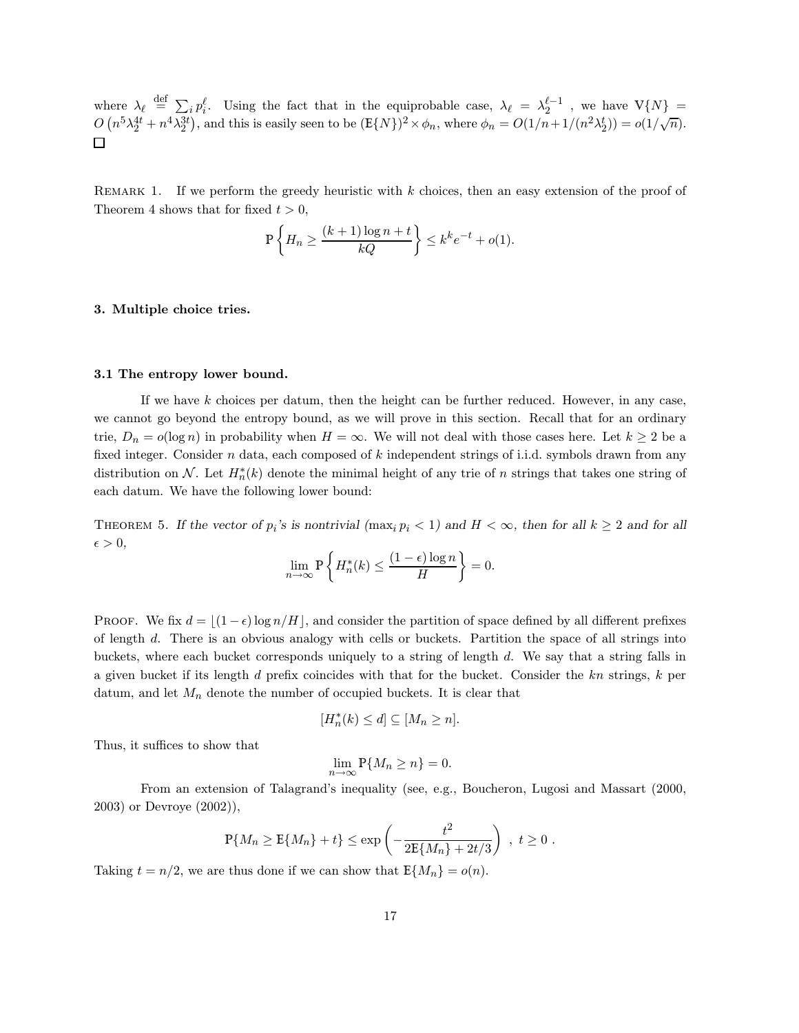where  $\lambda_{\ell} \stackrel{\text{def}}{=} \sum_{i} p_i^{\ell}$ . Using the fact that in the equiprobable case,  $\lambda_{\ell} = \lambda_2^{\ell-1}$ , we have  $V\{N\} =$  $O(n^5\lambda_2^{4t}+n^4\lambda_2^{3t})$ , and this is easily seen to be  $(\mathbb{E}\{N\})^2 \times \phi_n$ , where  $\phi_n = O(1/n+1/(n^2\lambda_2^t)) = o(1/\sqrt{n})$ .  $\Box$ 

REMARK 1. If we perform the greedy heuristic with  $k$  choices, then an easy extension of the proof of Theorem 4 shows that for fixed  $t > 0$ ,

$$
\mathbb{P}\left\{H_n \ge \frac{(k+1)\log n + t}{kQ}\right\} \le k^k e^{-t} + o(1).
$$

## 3. Multiple choice tries.

### 3.1 The entropy lower bound.

If we have k choices per datum, then the height can be further reduced. However, in any case, we cannot go beyond the entropy bound, as we will prove in this section. Recall that for an ordinary trie,  $D_n = o(\log n)$  in probability when  $H = \infty$ . We will not deal with those cases here. Let  $k \geq 2$  be a fixed integer. Consider  $n$  data, each composed of  $k$  independent strings of i.i.d. symbols drawn from any distribution on N. Let  $H_n^*(k)$  denote the minimal height of any trie of n strings that takes one string of each datum. We have the following lower bound:

THEOREM 5. If the vector of  $p_i$ 's is nontrivial  $(\max_i p_i < 1)$  and  $H < \infty$ , then for all  $k \ge 2$  and for all  $\epsilon > 0,$ 

$$
\lim_{n \to \infty} \mathbb{P}\left\{ H_n^*(k) \le \frac{(1 - \epsilon) \log n}{H} \right\} = 0.
$$

PROOF. We fix  $d = |(1 - \epsilon) \log n/H|$ , and consider the partition of space defined by all different prefixes of length d. There is an obvious analogy with cells or buckets. Partition the space of all strings into buckets, where each bucket corresponds uniquely to a string of length d. We say that a string falls in a given bucket if its length  $d$  prefix coincides with that for the bucket. Consider the  $kn$  strings,  $k$  per datum, and let  $M_n$  denote the number of occupied buckets. It is clear that

$$
[H_n^*(k) \le d] \subseteq [M_n \ge n].
$$

Thus, it suffices to show that

$$
\lim_{n \to \infty} \mathbb{P}\{M_n \ge n\} = 0.
$$

From an extension of Talagrand's inequality (see, e.g., Boucheron, Lugosi and Massart (2000, 2003) or Devroye (2002)),

$$
\mathbb{P}\{M_n \ge \mathbb{E}\{M_n\} + t\} \le \exp\left(-\frac{t^2}{2\mathbb{E}\{M_n\} + 2t/3}\right) , t \ge 0.
$$

Taking  $t = n/2$ , we are thus done if we can show that  $E\{M_n\} = o(n)$ .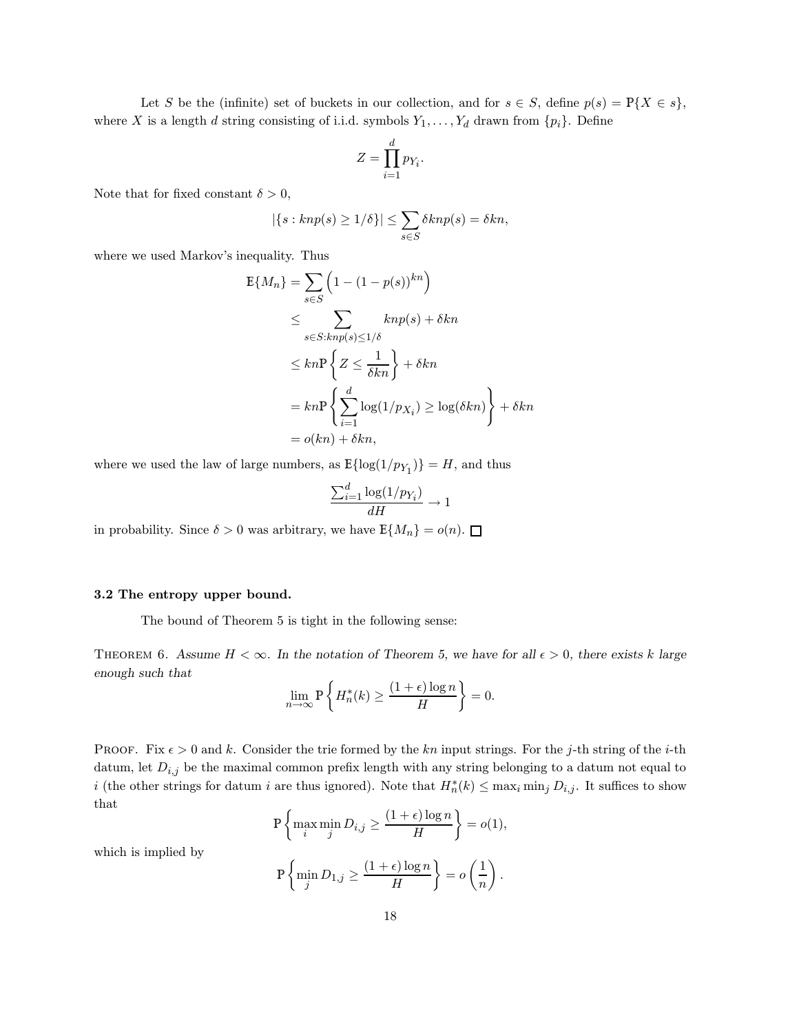Let S be the (infinite) set of buckets in our collection, and for  $s \in S$ , define  $p(s) = P\{X \in s\}$ , where X is a length d string consisting of i.i.d. symbols  $Y_1, \ldots, Y_d$  drawn from  $\{p_i\}$ . Define

$$
Z=\prod_{i=1}^d p_{Y_i}.
$$

Note that for fixed constant  $\delta > 0$ ,

$$
|\{s: knp(s) \ge 1/\delta\}| \le \sum_{s \in S} \delta knp(s) = \delta kn,
$$

where we used Markov's inequality. Thus

$$
E{M_n} = \sum_{s \in S} \left(1 - (1 - p(s))^{kn}\right)
$$
  
\n
$$
\leq \sum_{s \in S: knp(s) \leq 1/\delta} knp(s) + \delta kn
$$
  
\n
$$
\leq kn \sum_{s \in S: knp(s) \leq 1/\delta} knn
$$
  
\n
$$
= kn \sum_{i=1}^{d} \log(1/p_{X_i}) \geq \log(\delta kn) + \delta kn
$$
  
\n
$$
= o(kn) + \delta kn,
$$

where we used the law of large numbers, as  $\mathbb{E}\{\log(1/p_{Y_1})\} = H$ , and thus

$$
\frac{\sum_{i=1}^{d} \log(1/p_{Y_i})}{dH} \to 1
$$

in probability. Since  $\delta > 0$  was arbitrary, we have  $\mathbb{E}\{M_n\} = o(n)$ .  $\square$ 

## 3.2 The entropy upper bound.

The bound of Theorem 5 is tight in the following sense:

THEOREM 6. Assume  $H < \infty$ . In the notation of Theorem 5, we have for all  $\epsilon > 0$ , there exists k large enough such that

$$
\lim_{n \to \infty} \mathbf{P} \left\{ H_n^*(k) \ge \frac{(1+\epsilon)\log n}{H} \right\} = 0.
$$

PROOF. Fix  $\epsilon > 0$  and k. Consider the trie formed by the kn input strings. For the j-th string of the i-th datum, let  $D_{i,j}$  be the maximal common prefix length with any string belonging to a datum not equal to i (the other strings for datum i are thus ignored). Note that  $H_n^*(k) \le \max_i \min_j D_{i,j}$ . It suffices to show that

$$
\mathbb{P}\left\{\max_{i} \min_{j} D_{i,j} \ge \frac{(1+\epsilon)\log n}{H}\right\} = o(1),
$$

which is implied by

$$
\mathbb{P}\left\{\min_{j} D_{1,j} \ge \frac{(1+\epsilon)\log n}{H}\right\} = o\left(\frac{1}{n}\right).
$$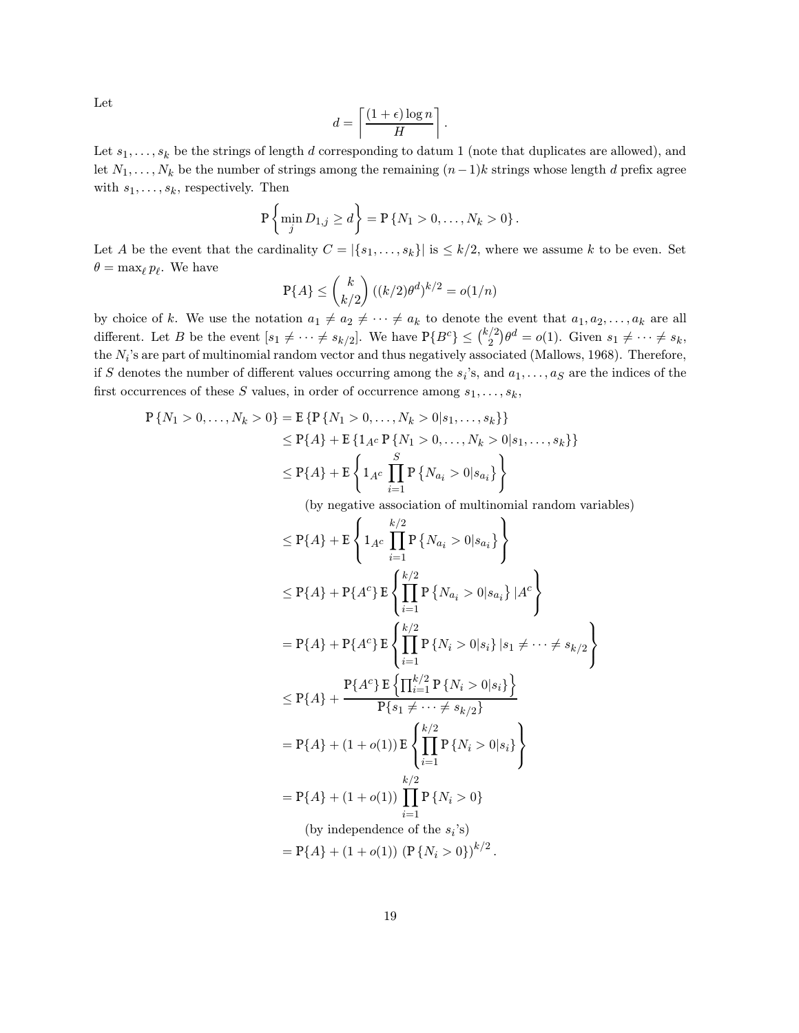Let

$$
d = \left\lceil \frac{(1+\epsilon)\log n}{H} \right\rceil.
$$

Let  $s_1, \ldots, s_k$  be the strings of length d corresponding to datum 1 (note that duplicates are allowed), and let  $N_1, \ldots, N_k$  be the number of strings among the remaining  $(n-1)k$  strings whose length d prefix agree with  $s_1, \ldots, s_k$ , respectively. Then

$$
P\left\{\min_{j} D_{1,j} \ge d\right\} = P\left\{N_1 > 0, \ldots, N_k > 0\right\}.
$$

Let A be the event that the cardinality  $C = |\{s_1, \ldots, s_k\}|$  is  $\leq k/2$ , where we assume k to be even. Set  $\theta = \max_{\ell} p_{\ell}$ . We have

$$
\mathbb{P}{A} \leq {k \choose k/2} ((k/2)\theta^d)^{k/2} = o(1/n)
$$

by choice of k. We use the notation  $a_1 \neq a_2 \neq \cdots \neq a_k$  to denote the event that  $a_1, a_2, \ldots, a_k$  are all different. Let B be the event  $[s_1 \neq \cdots \neq s_{k/2}]$ . We have  $P\{B^c\} \leq {k/2 \choose 2}\theta^d = o(1)$ . Given  $s_1 \neq \cdots \neq s_k$ , the  $N_i$ 's are part of multinomial random vector and thus negatively associated (Mallows, 1968). Therefore, if S denotes the number of different values occurring among the  $s_i$ 's, and  $a_1, \ldots, a_S$  are the indices of the first occurrences of these S values, in order of occurrence among  $s_1, \ldots, s_k$ ,

$$
P\{N_1 > 0, ..., N_k > 0\} = E\{P\{N_1 > 0, ..., N_k > 0 | s_1, ..., s_k\}\}\
$$
  
\n
$$
\leq P\{A\} + E\{1_{A^c} P\{N_1 > 0, ..., N_k > 0 | s_1, ..., s_k\}\}\
$$
  
\n
$$
\leq P\{A\} + E\left\{1_{A^c} \prod_{i=1}^S P\{N_{a_i} > 0 | s_{a_i}\}\right\}
$$

(by negative association of multinomial random variables)

$$
\leq P\{A\} + E\left\{1_{A^c} \prod_{i=1}^{k/2} P\{N_{a_i} > 0 | s_{a_i}\}\right\}
$$
  
\n
$$
\leq P\{A\} + P\{A^c\} E\left\{\prod_{i=1}^{k/2} P\{N_{a_i} > 0 | s_{a_i}\} | A^c\right\}
$$
  
\n
$$
= P\{A\} + P\{A^c\} E\left\{\prod_{i=1}^{k/2} P\{N_i > 0 | s_i\} | s_1 \neq \dots \neq s_{k/2}\right\}
$$
  
\n
$$
\leq P\{A\} + \frac{P\{A^c\} E\left\{\prod_{i=1}^{k/2} P\{N_i > 0 | s_i\}\right\}}{P\{s_1 \neq \dots \neq s_{k/2}\}}\right\}
$$
  
\n
$$
= P\{A\} + (1 + o(1)) E\left\{\prod_{i=1}^{k/2} P\{N_i > 0 | s_i\}\right\}
$$
  
\n
$$
= P\{A\} + (1 + o(1)) \prod_{i=1}^{k/2} P\{N_i > 0\}
$$
  
\n(by independence of the  $s_i$ 's)  
\n
$$
= P\{A\} + (1 + o(1)) (P\{N_i > 0\})^{k/2}.
$$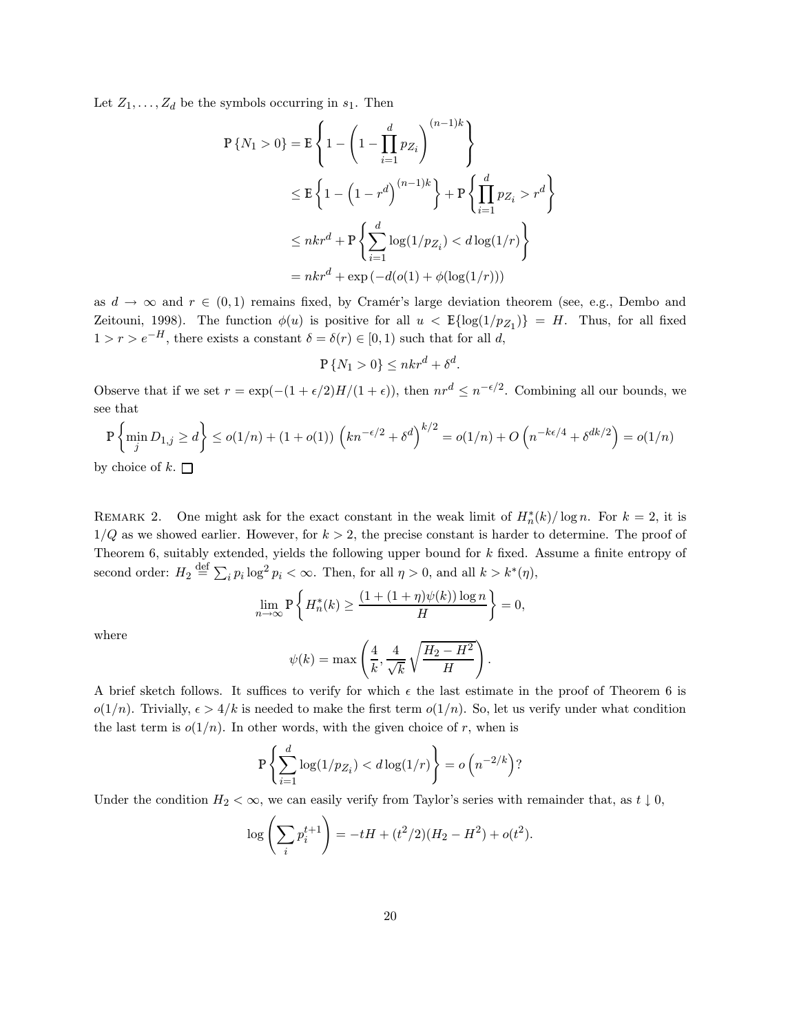Let  $Z_1, \ldots, Z_d$  be the symbols occurring in  $s_1$ . Then

$$
P\{N_1 > 0\} = E\left\{1 - \left(1 - \prod_{i=1}^d p_{Z_i}\right)^{(n-1)k}\right\}
$$
  
\n
$$
\leq E\left\{1 - \left(1 - r^d\right)^{(n-1)k}\right\} + P\left\{\prod_{i=1}^d p_{Z_i} > r^d\right\}
$$
  
\n
$$
\leq nkr^d + P\left\{\sum_{i=1}^d \log(1/p_{Z_i}) < d\log(1/r)\right\}
$$
  
\n
$$
= nkr^d + \exp\left(-d(o(1) + \phi(\log(1/r)))\right)
$$

as  $d \to \infty$  and  $r \in (0,1)$  remains fixed, by Cramér's large deviation theorem (see, e.g., Dembo and Zeitouni, 1998). The function  $\phi(u)$  is positive for all  $u < E{\log(1/p_{Z_1})} = H$ . Thus, for all fixed  $1 > r > e^{-H}$ , there exists a constant  $\delta = \delta(r) \in [0, 1)$  such that for all d,

$$
\mathbb{P}\left\{N_1 > 0\right\} \leq nkr^d + \delta^d.
$$

Observe that if we set  $r = \exp(-(1 + \epsilon/2)H/(1 + \epsilon))$ , then  $nr^d \leq n^{-\epsilon/2}$ . Combining all our bounds, we see that

$$
\mathbb{P}\left\{\min_{j} D_{1,j} \ge d\right\} \le o(1/n) + (1+o(1))\left(kn^{-\epsilon/2} + \delta^d\right)^{k/2} = o(1/n) + O\left(n^{-k\epsilon/4} + \delta^{dk/2}\right) = o(1/n)
$$

by choice of k.  $\square$ 

REMARK 2. One might ask for the exact constant in the weak limit of  $H_n^*(k)/\log n$ . For  $k=2$ , it is  $1/Q$  as we showed earlier. However, for  $k > 2$ , the precise constant is harder to determine. The proof of Theorem 6, suitably extended, yields the following upper bound for k fixed. Assume a finite entropy of second order:  $H_2 \stackrel{\text{def}}{=} \sum_i p_i \log^2 p_i < \infty$ . Then, for all  $\eta > 0$ , and all  $k > k^*(\eta)$ ,

$$
\lim_{n \to \infty} \mathbb{P}\left\{ H_n^*(k) \ge \frac{(1 + (1 + \eta)\psi(k))\log n}{H} \right\} = 0,
$$

where

$$
\psi(k) = \max\left(\frac{4}{k}, \frac{4}{\sqrt{k}}\sqrt{\frac{H_2 - H^2}{H}}\right).
$$

A brief sketch follows. It suffices to verify for which  $\epsilon$  the last estimate in the proof of Theorem 6 is  $o(1/n)$ . Trivially,  $\epsilon > 4/k$  is needed to make the first term  $o(1/n)$ . So, let us verify under what condition the last term is  $o(1/n)$ . In other words, with the given choice of r, when is

$$
P\left\{\sum_{i=1}^d \log(1/p_{Z_i}) < d\log(1/r)\right\} = o\left(n^{-2/k}\right)?
$$

Under the condition  $H_2 < \infty$ , we can easily verify from Taylor's series with remainder that, as  $t \downarrow 0$ ,

$$
\log\left(\sum_{i} p_i^{t+1}\right) = -tH + (t^2/2)(H_2 - H^2) + o(t^2).
$$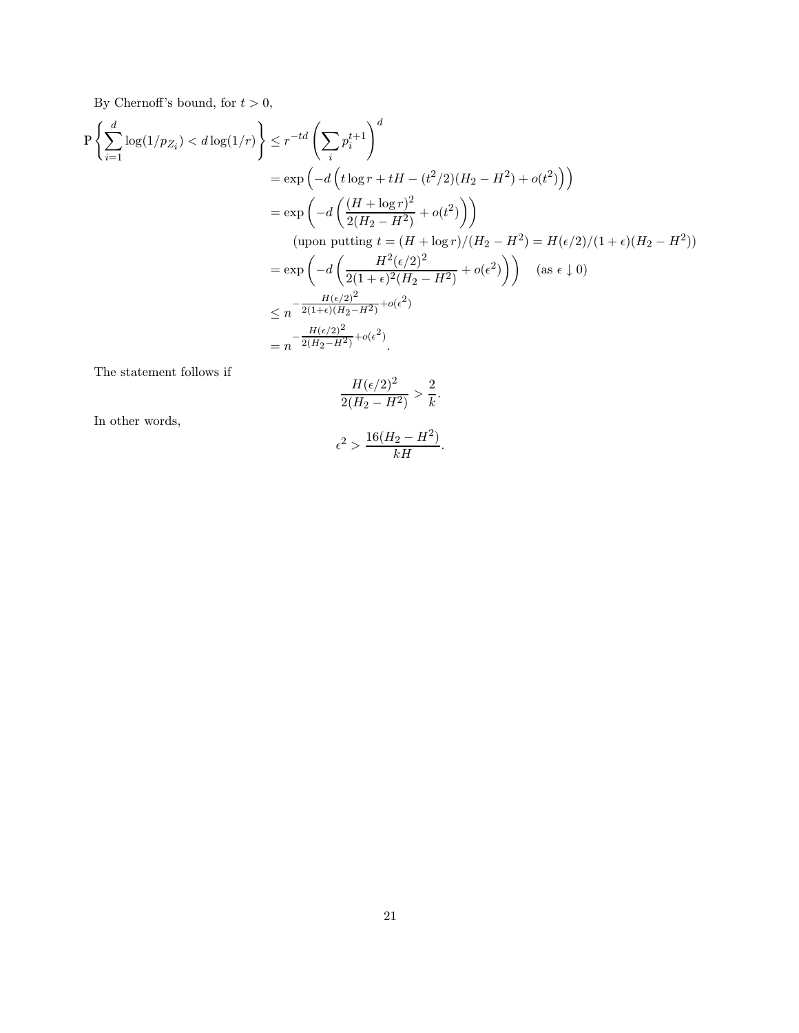By Chernoff's bound, for  $t > 0$ ,

$$
P\left\{\sum_{i=1}^{d} \log(1/p_{Z_i}) < d\log(1/r)\right\} \le r^{-td} \left(\sum_{i} p_i^{t+1}\right)^d
$$
\n
$$
= \exp\left(-d\left(t\log r + tH - (t^2/2)(H_2 - H^2) + o(t^2)\right)\right)
$$
\n
$$
= \exp\left(-d\left(\frac{(H + \log r)^2}{2(H_2 - H^2)} + o(t^2)\right)\right)
$$
\n(upon putting  $t = (H + \log r)/(H_2 - H^2) = H(\epsilon/2)/(1 + \epsilon)(H_2 - H^2)$ )

\n
$$
= \exp\left(-d\left(\frac{H^2(\epsilon/2)^2}{2(1 + \epsilon)^2(H_2 - H^2)} + o(\epsilon^2)\right)\right) \quad \text{(as } \epsilon \downarrow 0)
$$
\n
$$
\le n^{-\frac{H(\epsilon/2)^2}{2(1 + \epsilon)(H_2 - H^2)} + o(\epsilon^2)}
$$
\n
$$
= n^{-\frac{H(\epsilon/2)^2}{2(H_2 - H^2)} + o(\epsilon^2)}
$$
\n
$$
= n^{-\frac{H(\epsilon/2)^2}{2(H_2 - H^2)} + o(\epsilon^2)}.
$$

The statement follows if

$$
\frac{H(\epsilon/2)^2}{2(H_2 - H^2)} > \frac{2}{k}.
$$

In other words,

$$
\epsilon^2 > \frac{16(H_2 - H^2)}{kH}.
$$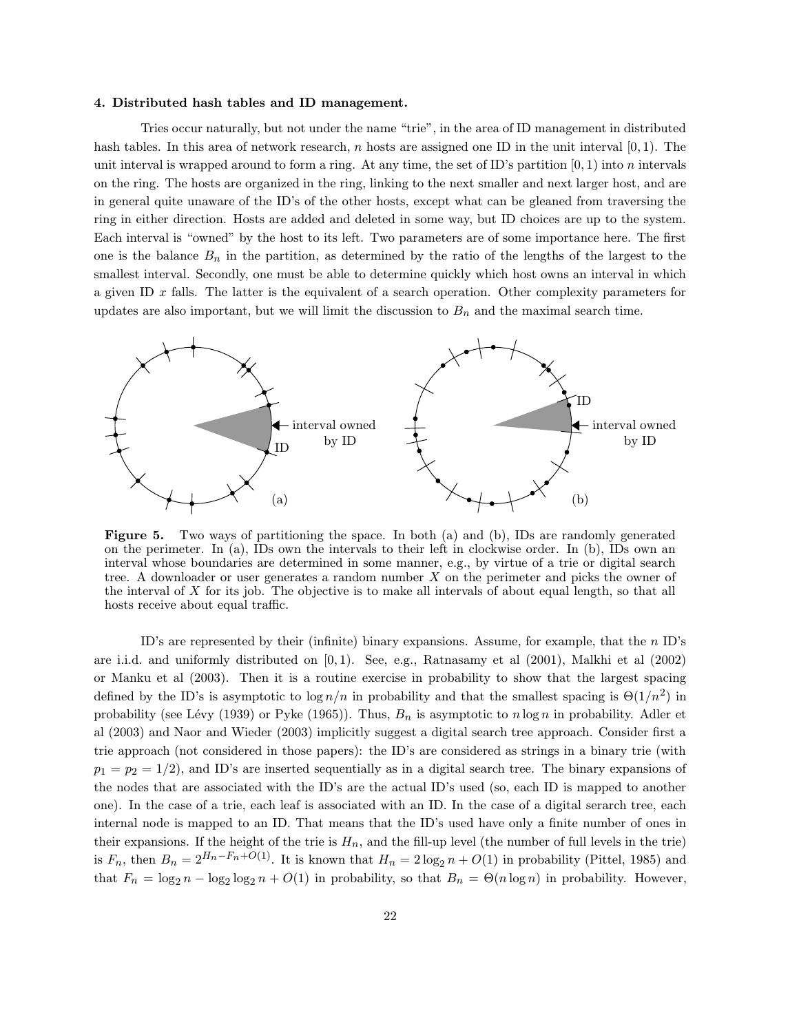### 4. Distributed hash tables and ID management.

Tries occur naturally, but not under the name "trie", in the area of ID management in distributed hash tables. In this area of network research, n hosts are assigned one ID in the unit interval  $[0, 1)$ . The unit interval is wrapped around to form a ring. At any time, the set of ID's partition  $[0, 1)$  into n intervals on the ring. The hosts are organized in the ring, linking to the next smaller and next larger host, and are in general quite unaware of the ID's of the other hosts, except what can be gleaned from traversing the ring in either direction. Hosts are added and deleted in some way, but ID choices are up to the system. Each interval is "owned" by the host to its left. Two parameters are of some importance here. The first one is the balance  $B_n$  in the partition, as determined by the ratio of the lengths of the largest to the smallest interval. Secondly, one must be able to determine quickly which host owns an interval in which a given ID  $x$  falls. The latter is the equivalent of a search operation. Other complexity parameters for updates are also important, but we will limit the discussion to  $B_n$  and the maximal search time.



Figure 5. Two ways of partitioning the space. In both (a) and (b), IDs are randomly generated on the perimeter. In (a), IDs own the intervals to their left in clockwise order. In (b), IDs own an interval whose boundaries are determined in some manner, e.g., by virtue of a trie or digital search tree. A downloader or user generates a random number  $X$  on the perimeter and picks the owner of the interval of X for its job. The objective is to make all intervals of about equal length, so that all hosts receive about equal traffic.

ID's are represented by their (infinite) binary expansions. Assume, for example, that the  $n$  ID's are i.i.d. and uniformly distributed on [0, 1). See, e.g., Ratnasamy et al (2001), Malkhi et al (2002) or Manku et al (2003). Then it is a routine exercise in probability to show that the largest spacing defined by the ID's is asymptotic to  $\log n/n$  in probability and that the smallest spacing is  $\Theta(1/n^2)$  in probability (see Lévy (1939) or Pyke (1965)). Thus,  $B_n$  is asymptotic to  $n \log n$  in probability. Adler et al (2003) and Naor and Wieder (2003) implicitly suggest a digital search tree approach. Consider first a trie approach (not considered in those papers): the ID's are considered as strings in a binary trie (with  $p_1 = p_2 = 1/2$ , and ID's are inserted sequentially as in a digital search tree. The binary expansions of the nodes that are associated with the ID's are the actual ID's used (so, each ID is mapped to another one). In the case of a trie, each leaf is associated with an ID. In the case of a digital serarch tree, each internal node is mapped to an ID. That means that the ID's used have only a finite number of ones in their expansions. If the height of the trie is  $H_n$ , and the fill-up level (the number of full levels in the trie) is  $F_n$ , then  $B_n = 2^{H_n - F_n + O(1)}$ . It is known that  $H_n = 2 \log_2 n + O(1)$  in probability (Pittel, 1985) and that  $F_n = \log_2 n - \log_2 \log_2 n + O(1)$  in probability, so that  $B_n = \Theta(n \log n)$  in probability. However,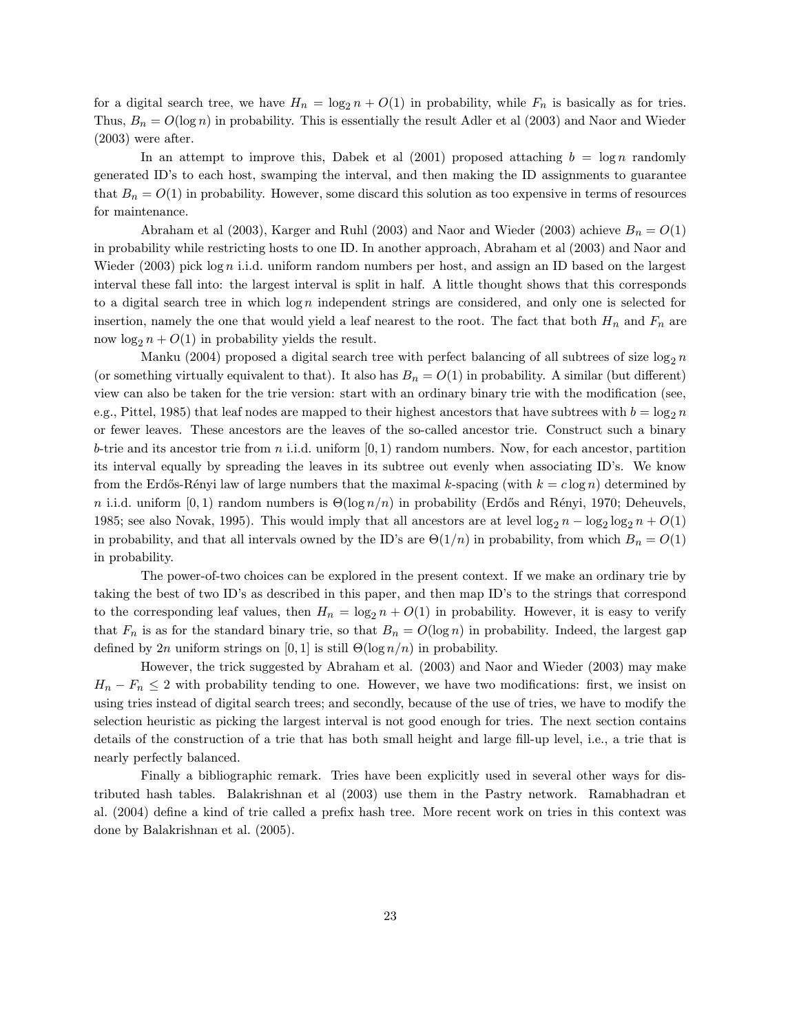for a digital search tree, we have  $H_n = \log_2 n + O(1)$  in probability, while  $F_n$  is basically as for tries. Thus,  $B_n = O(\log n)$  in probability. This is essentially the result Adler et al (2003) and Naor and Wieder (2003) were after.

In an attempt to improve this, Dabek et al  $(2001)$  proposed attaching  $b = \log n$  randomly generated ID's to each host, swamping the interval, and then making the ID assignments to guarantee that  $B_n = O(1)$  in probability. However, some discard this solution as too expensive in terms of resources for maintenance.

Abraham et al (2003), Karger and Ruhl (2003) and Naor and Wieder (2003) achieve  $B_n = O(1)$ in probability while restricting hosts to one ID. In another approach, Abraham et al (2003) and Naor and Wieder  $(2003)$  pick log n i.i.d. uniform random numbers per host, and assign an ID based on the largest interval these fall into: the largest interval is split in half. A little thought shows that this corresponds to a digital search tree in which  $\log n$  independent strings are considered, and only one is selected for insertion, namely the one that would yield a leaf nearest to the root. The fact that both  $H_n$  and  $F_n$  are now  $\log_2 n + O(1)$  in probability yields the result.

Manku (2004) proposed a digital search tree with perfect balancing of all subtrees of size  $\log_2 n$ (or something virtually equivalent to that). It also has  $B_n = O(1)$  in probability. A similar (but different) view can also be taken for the trie version: start with an ordinary binary trie with the modification (see, e.g., Pittel, 1985) that leaf nodes are mapped to their highest ancestors that have subtrees with  $b = \log_2 n$ or fewer leaves. These ancestors are the leaves of the so-called ancestor trie. Construct such a binary b-trie and its ancestor trie from  $n$  i.i.d. uniform  $[0, 1)$  random numbers. Now, for each ancestor, partition its interval equally by spreading the leaves in its subtree out evenly when associating ID's. We know from the Erdős-Rényi law of large numbers that the maximal k-spacing (with  $k = c \log n$ ) determined by n i.i.d. uniform [0, 1) random numbers is  $\Theta(\log n/n)$  in probability (Erdős and Rényi, 1970; Deheuvels, 1985; see also Novak, 1995). This would imply that all ancestors are at level  $\log_2 n - \log_2 \log_2 n + O(1)$ in probability, and that all intervals owned by the ID's are  $\Theta(1/n)$  in probability, from which  $B_n = O(1)$ in probability.

The power-of-two choices can be explored in the present context. If we make an ordinary trie by taking the best of two ID's as described in this paper, and then map ID's to the strings that correspond to the corresponding leaf values, then  $H_n = \log_2 n + O(1)$  in probability. However, it is easy to verify that  $F_n$  is as for the standard binary trie, so that  $B_n = O(\log n)$  in probability. Indeed, the largest gap defined by 2n uniform strings on [0, 1] is still  $\Theta(\log n/n)$  in probability.

However, the trick suggested by Abraham et al. (2003) and Naor and Wieder (2003) may make  $H_n - F_n \leq 2$  with probability tending to one. However, we have two modifications: first, we insist on using tries instead of digital search trees; and secondly, because of the use of tries, we have to modify the selection heuristic as picking the largest interval is not good enough for tries. The next section contains details of the construction of a trie that has both small height and large fill-up level, i.e., a trie that is nearly perfectly balanced.

Finally a bibliographic remark. Tries have been explicitly used in several other ways for distributed hash tables. Balakrishnan et al (2003) use them in the Pastry network. Ramabhadran et al. (2004) define a kind of trie called a prefix hash tree. More recent work on tries in this context was done by Balakrishnan et al. (2005).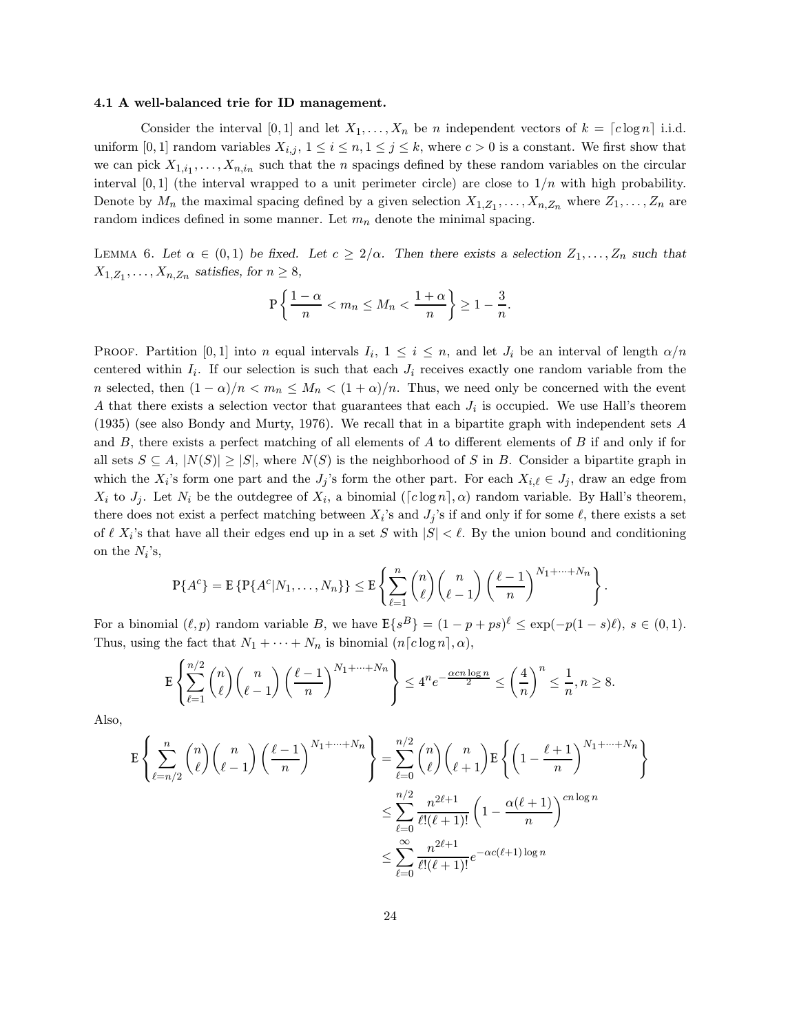### 4.1 A well-balanced trie for ID management.

Consider the interval [0, 1] and let  $X_1, \ldots, X_n$  be n independent vectors of  $k = \lfloor c \log n \rfloor$  i.i.d. uniform [0, 1] random variables  $X_{i,j}$ ,  $1 \leq i \leq n, 1 \leq j \leq k$ , where  $c > 0$  is a constant. We first show that we can pick  $X_{1,i_1}, \ldots, X_{n,i_n}$  such that the *n* spacings defined by these random variables on the circular interval  $[0, 1]$  (the interval wrapped to a unit perimeter circle) are close to  $1/n$  with high probability. Denote by  $M_n$  the maximal spacing defined by a given selection  $X_{1,Z_1}, \ldots, X_{n,Z_n}$  where  $Z_1, \ldots, Z_n$  are random indices defined in some manner. Let  $m_n$  denote the minimal spacing.

LEMMA 6. Let  $\alpha \in (0,1)$  be fixed. Let  $c \geq 2/\alpha$ . Then there exists a selection  $Z_1, \ldots, Z_n$  such that  $X_{1,Z_1}, \ldots, X_{n,Z_n}$  satisfies, for  $n \geq 8$ ,

$$
\mathbb{P}\left\{\frac{1-\alpha}{n} < m_n \le M_n < \frac{1+\alpha}{n}\right\} \ge 1 - \frac{3}{n}.
$$

**PROOF.** Partition [0, 1] into n equal intervals  $I_i$ ,  $1 \leq i \leq n$ , and let  $J_i$  be an interval of length  $\alpha/n$ centered within  $I_i$ . If our selection is such that each  $J_i$  receives exactly one random variable from the n selected, then  $(1 - \alpha)/n < m_n \leq M_n < (1 + \alpha)/n$ . Thus, we need only be concerned with the event A that there exists a selection vector that guarantees that each  $J_i$  is occupied. We use Hall's theorem (1935) (see also Bondy and Murty, 1976). We recall that in a bipartite graph with independent sets A and  $B$ , there exists a perfect matching of all elements of  $A$  to different elements of  $B$  if and only if for all sets  $S \subseteq A$ ,  $|N(S)| \ge |S|$ , where  $N(S)$  is the neighborhood of S in B. Consider a bipartite graph in which the  $X_i$ 's form one part and the  $J_j$ 's form the other part. For each  $X_{i,\ell} \in J_j$ , draw an edge from  $X_i$  to  $J_j$ . Let  $N_i$  be the outdegree of  $X_i$ , a binomial ( $\lceil c \log n \rceil$ ,  $\alpha$ ) random variable. By Hall's theorem, there does not exist a perfect matching between  $X_i$ 's and  $J_j$ 's if and only if for some  $\ell$ , there exists a set of  $\ell$   $X_i$ 's that have all their edges end up in a set S with  $|S| < \ell$ . By the union bound and conditioning on the  $N_i$ 's,

$$
\mathbb{P}\{A^c\} = \mathbb{E}\left\{\mathbb{P}\{A^c|N_1,\ldots,N_n\}\right\} \leq \mathbb{E}\left\{\sum_{\ell=1}^n \binom{n}{\ell} \binom{n}{\ell-1} \left(\frac{\ell-1}{n}\right)^{N_1+\cdots+N_n}\right\}.
$$

For a binomial  $(\ell, p)$  random variable B, we have  $\mathbb{E}\{s^B\} = (1 - p + ps)^{\ell} \leq \exp(-p(1 - s)\ell), s \in (0, 1)$ . Thus, using the fact that  $N_1 + \cdots + N_n$  is binomial  $(n[c \log n], \alpha)$ ,

$$
\mathbb{E}\left\{\sum_{\ell=1}^{n/2}\binom{n}{\ell}\binom{n}{\ell-1}\left(\frac{\ell-1}{n}\right)^{N_1+\cdots+N_n}\right\}\leq 4^ne^{-\frac{\alpha cn\log n}{2}}\leq \left(\frac{4}{n}\right)^n\leq \frac{1}{n}, n\geq 8.
$$

Also,

$$
\mathbb{E}\left\{\sum_{\ell=n/2}^{n}\binom{n}{\ell}\binom{n}{\ell-1}\left(\frac{\ell-1}{n}\right)^{N_1+\cdots+N_n}\right\} = \sum_{\ell=0}^{n/2}\binom{n}{\ell}\binom{n}{\ell+1}\mathbb{E}\left\{\left(1-\frac{\ell+1}{n}\right)^{N_1+\cdots+N_n}\right\}
$$

$$
\leq \sum_{\ell=0}^{n/2}\frac{n^{2\ell+1}}{\ell!(\ell+1)!}\left(1-\frac{\alpha(\ell+1)}{n}\right)^{cn\log n}
$$

$$
\leq \sum_{\ell=0}^{\infty}\frac{n^{2\ell+1}}{\ell!(\ell+1)!}e^{-\alpha c(\ell+1)\log n}
$$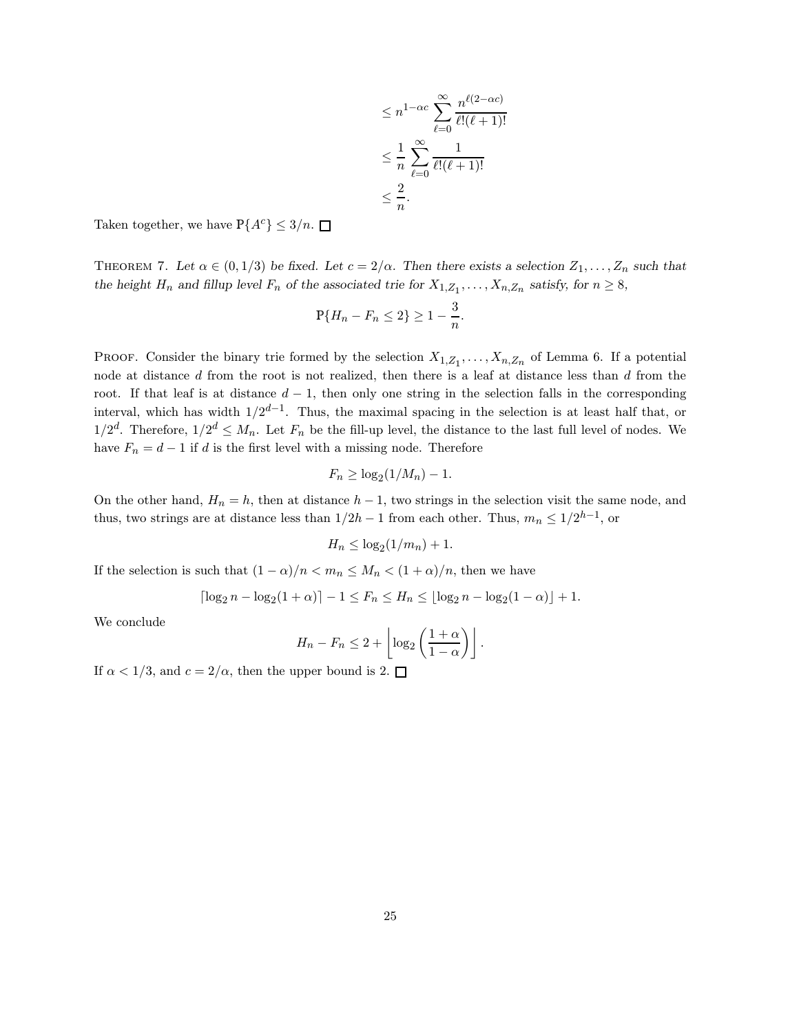$$
\leq n^{1-\alpha c} \sum_{\ell=0}^{\infty} \frac{n^{\ell(2-\alpha c)}}{\ell!(\ell+1)!}
$$

$$
\leq \frac{1}{n} \sum_{\ell=0}^{\infty} \frac{1}{\ell!(\ell+1)!}
$$

$$
\leq \frac{2}{n}.
$$

Taken together, we have  $P{A<sup>c</sup>} \le 3/n$ .

THEOREM 7. Let  $\alpha \in (0,1/3)$  be fixed. Let  $c = 2/\alpha$ . Then there exists a selection  $Z_1, \ldots, Z_n$  such that the height  $H_n$  and fillup level  $F_n$  of the associated trie for  $X_{1,Z_1}, \ldots, X_{n,Z_n}$  satisfy, for  $n \geq 8$ ,

$$
\mathbb{P}\{H_n - F_n \le 2\} \ge 1 - \frac{3}{n}.
$$

**PROOF.** Consider the binary trie formed by the selection  $X_{1,Z_1}, \ldots, X_{n,Z_n}$  of Lemma 6. If a potential node at distance d from the root is not realized, then there is a leaf at distance less than d from the root. If that leaf is at distance  $d-1$ , then only one string in the selection falls in the corresponding interval, which has width  $1/2^{d-1}$ . Thus, the maximal spacing in the selection is at least half that, or  $1/2^d$ . Therefore,  $1/2^d \leq M_n$ . Let  $F_n$  be the fill-up level, the distance to the last full level of nodes. We have  $F_n = d - 1$  if d is the first level with a missing node. Therefore

$$
F_n \geq \log_2(1/M_n) - 1.
$$

On the other hand,  $H_n = h$ , then at distance  $h - 1$ , two strings in the selection visit the same node, and thus, two strings are at distance less than  $1/2h-1$  from each other. Thus,  $m_n \leq 1/2^{h-1}$ , or

$$
H_n \leq \log_2(1/m_n) + 1.
$$

If the selection is such that  $(1 - \alpha)/n < m_n \leq M_n < (1 + \alpha)/n$ , then we have

$$
\lceil \log_2 n - \log_2(1+\alpha) \rceil - 1 \le F_n \le H_n \le \lfloor \log_2 n - \log_2(1-\alpha) \rfloor + 1.
$$

We conclude

$$
H_n - F_n \le 2 + \left\lfloor \log_2 \left( \frac{1+\alpha}{1-\alpha} \right) \right\rfloor.
$$

If  $\alpha < 1/3$ , and  $c = 2/\alpha$ , then the upper bound is 2.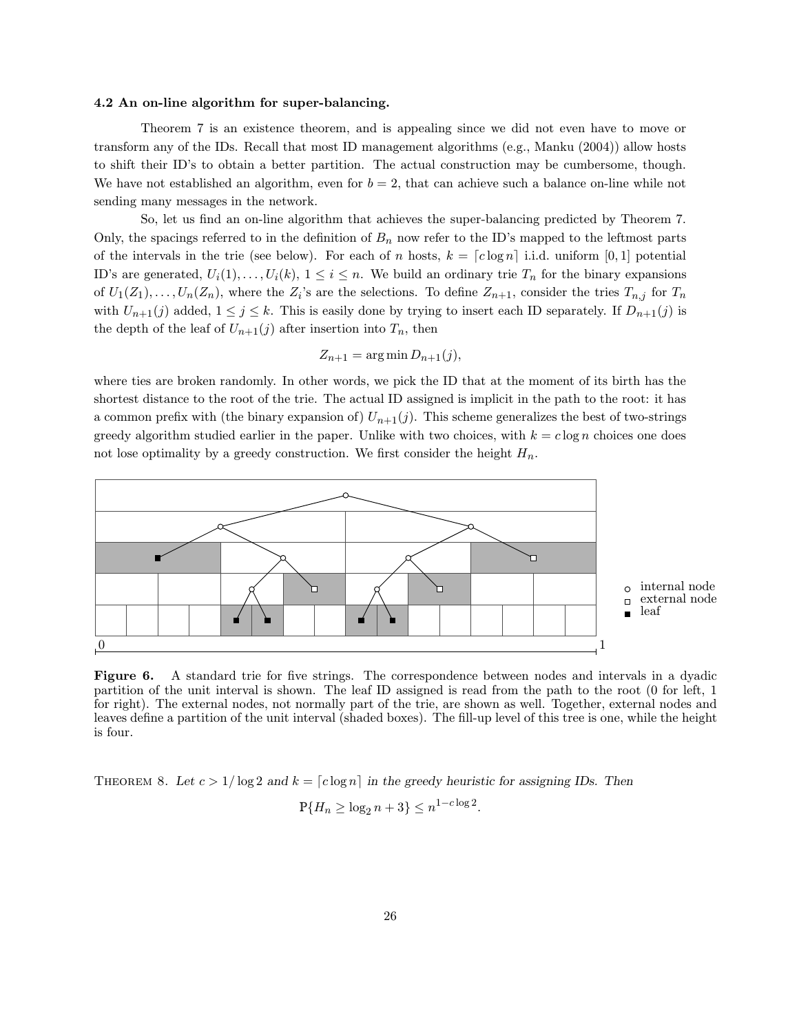#### 4.2 An on-line algorithm for super-balancing.

Theorem 7 is an existence theorem, and is appealing since we did not even have to move or transform any of the IDs. Recall that most ID management algorithms (e.g., Manku (2004)) allow hosts to shift their ID's to obtain a better partition. The actual construction may be cumbersome, though. We have not established an algorithm, even for  $b = 2$ , that can achieve such a balance on-line while not sending many messages in the network.

So, let us find an on-line algorithm that achieves the super-balancing predicted by Theorem 7. Only, the spacings referred to in the definition of  $B_n$  now refer to the ID's mapped to the leftmost parts of the intervals in the trie (see below). For each of n hosts,  $k = \lfloor c \log n \rfloor$  i.i.d. uniform [0, 1] potential ID's are generated,  $U_i(1),...,U_i(k), 1 \leq i \leq n$ . We build an ordinary trie  $T_n$  for the binary expansions of  $U_1(Z_1), \ldots, U_n(Z_n)$ , where the  $Z_i$ 's are the selections. To define  $Z_{n+1}$ , consider the tries  $T_{n,j}$  for  $T_n$ with  $U_{n+1}(j)$  added,  $1 \leq j \leq k$ . This is easily done by trying to insert each ID separately. If  $D_{n+1}(j)$  is the depth of the leaf of  $U_{n+1}(j)$  after insertion into  $T_n$ , then

$$
Z_{n+1} = \arg\min D_{n+1}(j),
$$

where ties are broken randomly. In other words, we pick the ID that at the moment of its birth has the shortest distance to the root of the trie. The actual ID assigned is implicit in the path to the root: it has a common prefix with (the binary expansion of)  $U_{n+1}(j)$ . This scheme generalizes the best of two-strings greedy algorithm studied earlier in the paper. Unlike with two choices, with  $k = c \log n$  choices one does not lose optimality by a greedy construction. We first consider the height  $H_n$ .



Figure 6. A standard trie for five strings. The correspondence between nodes and intervals in a dyadic partition of the unit interval is shown. The leaf ID assigned is read from the path to the root (0 for left, 1 for right). The external nodes, not normally part of the trie, are shown as well. Together, external nodes and leaves define a partition of the unit interval (shaded boxes). The fill-up level of this tree is one, while the height is four.

THEOREM 8. Let  $c > 1/\log 2$  and  $k = \lceil c \log n \rceil$  in the greedy heuristic for assigning IDs. Then

$$
P\{H_n \ge \log_2 n + 3\} \le n^{1-c\log 2}
$$

.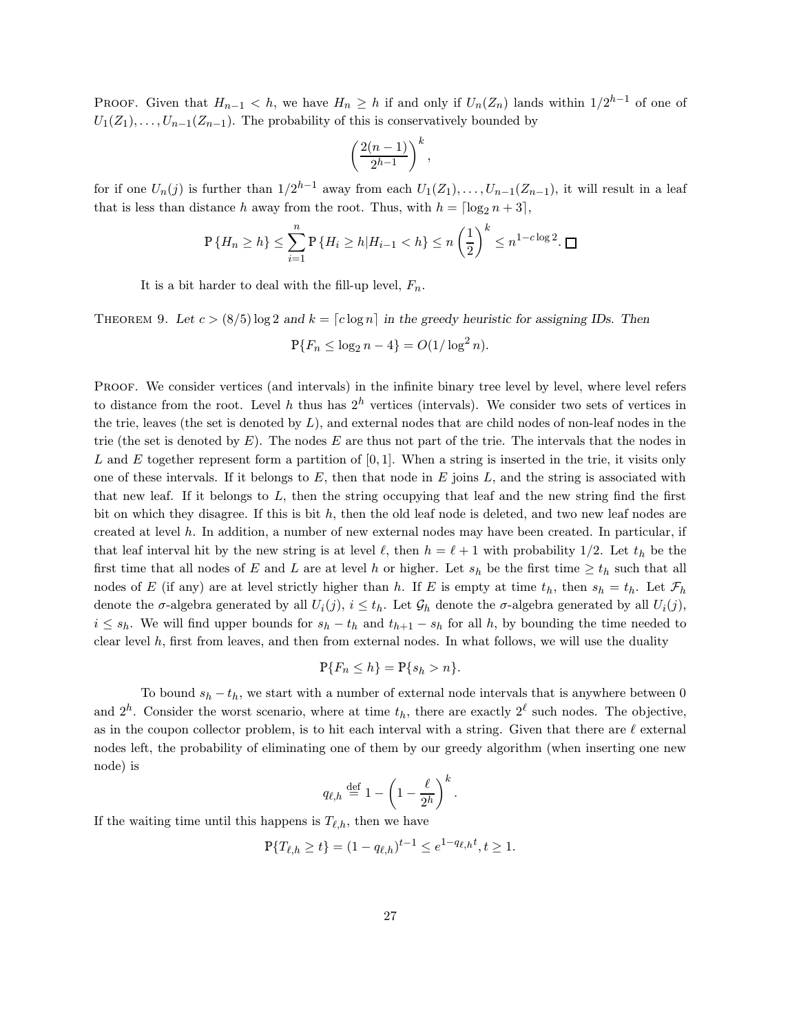PROOF. Given that  $H_{n-1} < h$ , we have  $H_n \geq h$  if and only if  $U_n(Z_n)$  lands within  $1/2^{h-1}$  of one of  $U_1(Z_1), \ldots, U_{n-1}(Z_{n-1})$ . The probability of this is conservatively bounded by

$$
\left(\frac{2(n-1)}{2^{h-1}}\right)^k,
$$

for if one  $U_n(j)$  is further than  $1/2^{h-1}$  away from each  $U_1(Z_1), \ldots, U_{n-1}(Z_{n-1}),$  it will result in a leaf that is less than distance h away from the root. Thus, with  $h = \lceil \log_2 n + 3 \rceil$ ,

$$
\mathbb{P}\left\{H_n \ge h\right\} \le \sum_{i=1}^n \mathbb{P}\left\{H_i \ge h | H_{i-1} < h\right\} \le n \left(\frac{1}{2}\right)^k \le n^{1-c \log 2}.\ \square
$$

It is a bit harder to deal with the fill-up level,  $F_n$ .

THEOREM 9. Let  $c > (8/5) \log 2$  and  $k = \lceil c \log n \rceil$  in the greedy heuristic for assigning IDs. Then  $P{F_n \leq \log_2 n - 4} = O(1/\log^2 n).$ 

PROOF. We consider vertices (and intervals) in the infinite binary tree level by level, where level refers to distance from the root. Level h thus has  $2^h$  vertices (intervals). We consider two sets of vertices in the trie, leaves (the set is denoted by  $L$ ), and external nodes that are child nodes of non-leaf nodes in the trie (the set is denoted by  $E$ ). The nodes  $E$  are thus not part of the trie. The intervals that the nodes in L and E together represent form a partition of  $[0, 1]$ . When a string is inserted in the trie, it visits only one of these intervals. If it belongs to  $E$ , then that node in  $E$  joins  $L$ , and the string is associated with that new leaf. If it belongs to  $L$ , then the string occupying that leaf and the new string find the first bit on which they disagree. If this is bit  $h$ , then the old leaf node is deleted, and two new leaf nodes are created at level h. In addition, a number of new external nodes may have been created. In particular, if that leaf interval hit by the new string is at level  $\ell$ , then  $h = \ell + 1$  with probability 1/2. Let  $t_h$  be the first time that all nodes of E and L are at level h or higher. Let  $s_h$  be the first time  $\geq t_h$  such that all nodes of E (if any) are at level strictly higher than h. If E is empty at time  $t_h$ , then  $s_h = t_h$ . Let  $\mathcal{F}_h$ denote the  $\sigma$ -algebra generated by all  $U_i(j)$ ,  $i \leq t_h$ . Let  $\mathcal{G}_h$  denote the  $\sigma$ -algebra generated by all  $U_i(j)$ ,  $i \leq s_h$ . We will find upper bounds for  $s_h - t_h$  and  $t_{h+1} - s_h$  for all h, by bounding the time needed to clear level h, first from leaves, and then from external nodes. In what follows, we will use the duality

$$
\mathbb{P}\{F_n \le h\} = \mathbb{P}\{s_h > n\}.
$$

To bound  $s_h - t_h$ , we start with a number of external node intervals that is anywhere between 0 and  $2^h$ . Consider the worst scenario, where at time  $t_h$ , there are exactly  $2^{\ell}$  such nodes. The objective, as in the coupon collector problem, is to hit each interval with a string. Given that there are  $\ell$  external nodes left, the probability of eliminating one of them by our greedy algorithm (when inserting one new node) is

$$
q_{\ell,h} \stackrel{\text{def}}{=} 1 - \left(1 - \frac{\ell}{2^h}\right)^k.
$$

If the waiting time until this happens is  $T_{\ell,h}$ , then we have

$$
\mathbb{P}\{T_{\ell,h} \ge t\} = (1 - q_{\ell,h})^{t-1} \le e^{1 - q_{\ell,h}t}, t \ge 1.
$$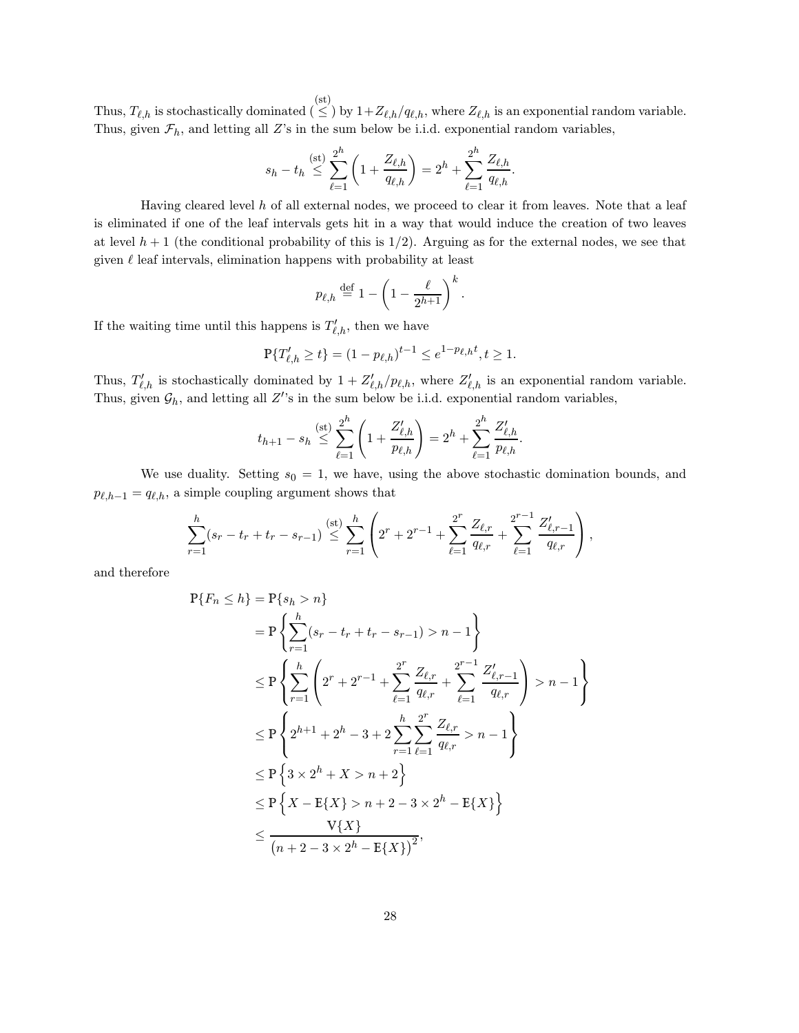Thus,  $T_{\ell,h}$  is stochastically dominated  $(\leq)$  by  $1+Z_{\ell,h}/q_{\ell,h}$ , where  $Z_{\ell,h}$  is an exponential random variable. Thus, given  $\mathcal{F}_h$ , and letting all Z's in the sum below be i.i.d. exponential random variables,

$$
s_h - t_h \stackrel{\text{(st)}}{\leq} \sum_{\ell=1}^{2^h} \left( 1 + \frac{Z_{\ell,h}}{q_{\ell,h}} \right) = 2^h + \sum_{\ell=1}^{2^h} \frac{Z_{\ell,h}}{q_{\ell,h}}.
$$

Having cleared level  $h$  of all external nodes, we proceed to clear it from leaves. Note that a leaf is eliminated if one of the leaf intervals gets hit in a way that would induce the creation of two leaves at level  $h + 1$  (the conditional probability of this is  $1/2$ ). Arguing as for the external nodes, we see that given  $\ell$  leaf intervals, elimination happens with probability at least

$$
p_{\ell,h} \stackrel{\text{def}}{=} 1 - \left(1 - \frac{\ell}{2^{h+1}}\right)^k.
$$

If the waiting time until this happens is  $T'_{\ell,h}$ , then we have

$$
\mathbb{P}\{T'_{\ell,h}\geq t\}=(1-p_{\ell,h})^{t-1}\leq e^{1-p_{\ell,h}t},t\geq 1.
$$

Thus,  $T'_{\ell,h}$  is stochastically dominated by  $1 + Z'_{\ell,h}/p_{\ell,h}$ , where  $Z'_{\ell,h}$  is an exponential random variable. Thus, given  $\mathcal{G}_h$ , and letting all Z''s in the sum below be i.i.d. exponential random variables,

$$
t_{h+1} - s_h \stackrel{\text{(st)}}{\leq} \sum_{\ell=1}^{2^h} \left( 1 + \frac{Z'_{\ell,h}}{p_{\ell,h}} \right) = 2^h + \sum_{\ell=1}^{2^h} \frac{Z'_{\ell,h}}{p_{\ell,h}}.
$$

We use duality. Setting  $s_0 = 1$ , we have, using the above stochastic domination bounds, and  $p_{\ell,h-1} = q_{\ell,h}$ , a simple coupling argument shows that

$$
\sum_{r=1}^h (s_r - t_r + t_r - s_{r-1}) \stackrel{\text{(st)}}{\leq} \sum_{r=1}^h \left( 2^r + 2^{r-1} + \sum_{\ell=1}^{2^r} \frac{Z_{\ell,r}}{q_{\ell,r}} + \sum_{\ell=1}^{2^{r-1}} \frac{Z'_{\ell,r-1}}{q_{\ell,r}} \right),
$$

and therefore

$$
P{F_n \le h} = P{s_h > n}
$$
  
=  $P \left\{ \sum_{r=1}^{h} (s_r - t_r + t_r - s_{r-1}) > n - 1 \right\}$   

$$
\le P \left\{ \sum_{r=1}^{h} \left( 2^r + 2^{r-1} + \sum_{\ell=1}^{2^r} \frac{Z_{\ell,r}}{q_{\ell,r}} + \sum_{\ell=1}^{2^{r-1}} \frac{Z'_{\ell,r-1}}{q_{\ell,r}} \right) > n - 1 \right\}
$$
  

$$
\le P \left\{ 2^{h+1} + 2^h - 3 + 2 \sum_{r=1}^{h} \sum_{\ell=1}^{2^r} \frac{Z_{\ell,r}}{q_{\ell,r}} > n - 1 \right\}
$$
  

$$
\le P \left\{ 3 \times 2^h + X > n + 2 \right\}
$$
  

$$
\le P \left\{ X - E\{X\} > n + 2 - 3 \times 2^h - E\{X\} \right\}
$$
  

$$
\le \frac{V\{X\}}{(n + 2 - 3 \times 2^h - E\{X\})^2},
$$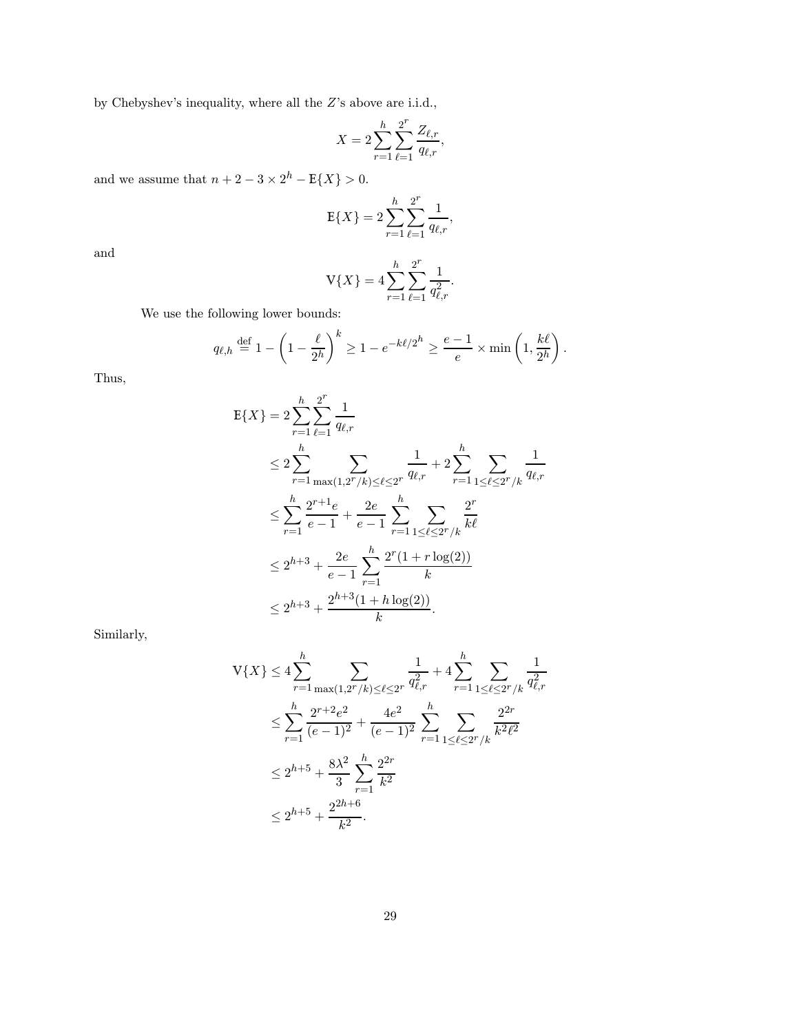by Chebyshev's inequality, where all the Z's above are i.i.d.,

$$
X = 2\sum_{r=1}^{h} \sum_{\ell=1}^{2^r} \frac{Z_{\ell,r}}{q_{\ell,r}},
$$

and we assume that  $n+2-3 \times 2^h - \mathbb{E}\{X\} > 0$ .

$$
E\{X\} = 2\sum_{r=1}^{h} \sum_{\ell=1}^{2^r} \frac{1}{q_{\ell,r}},
$$

and

$$
V\{X\} = 4\sum_{r=1}^{h} \sum_{\ell=1}^{2^r} \frac{1}{q_{\ell,r}^2}.
$$

We use the following lower bounds:

$$
q_{\ell,h} \stackrel{\text{def}}{=} 1 - \left(1 - \frac{\ell}{2^h}\right)^k \ge 1 - e^{-k\ell/2^h} \ge \frac{e-1}{e} \times \min\left(1, \frac{k\ell}{2^h}\right).
$$

Thus,

$$
E{X} = 2\sum_{r=1}^{h} \sum_{\ell=1}^{2^{r}} \frac{1}{q_{\ell,r}}
$$
  
\n
$$
\leq 2\sum_{r=1}^{h} \sum_{\max(1,2^{r}/k) \leq \ell \leq 2^{r}} \frac{1}{q_{\ell,r}} + 2\sum_{r=1}^{h} \sum_{1 \leq \ell \leq 2^{r}/k} \frac{1}{q_{\ell,r}}
$$
  
\n
$$
\leq \sum_{r=1}^{h} \frac{2^{r+1}e}{e-1} + \frac{2e}{e-1} \sum_{r=1}^{h} \sum_{1 \leq \ell \leq 2^{r}/k} \frac{2^{r}}{k\ell}
$$
  
\n
$$
\leq 2^{h+3} + \frac{2e}{e-1} \sum_{r=1}^{h} \frac{2^{r}(1+r \log(2))}{k}
$$
  
\n
$$
\leq 2^{h+3} + \frac{2^{h+3}(1+h \log(2))}{k}.
$$

Similarly,

$$
V\{X\} \le 4 \sum_{r=1}^{h} \sum_{\max(1,2^r/k) \le \ell \le 2^r} \frac{1}{q_{\ell,r}^2} + 4 \sum_{r=1}^{h} \sum_{1 \le \ell \le 2^r/k} \frac{1}{q_{\ell,r}^2}
$$
  

$$
\le \sum_{r=1}^{h} \frac{2^{r+2}e^2}{(e-1)^2} + \frac{4e^2}{(e-1)^2} \sum_{r=1}^{h} \sum_{1 \le \ell \le 2^r/k} \frac{2^{2r}}{k^2 \ell^2}
$$
  

$$
\le 2^{h+5} + \frac{8\lambda^2}{3} \sum_{r=1}^{h} \frac{2^{2r}}{k^2}
$$
  

$$
\le 2^{h+5} + \frac{2^{2h+6}}{k^2}.
$$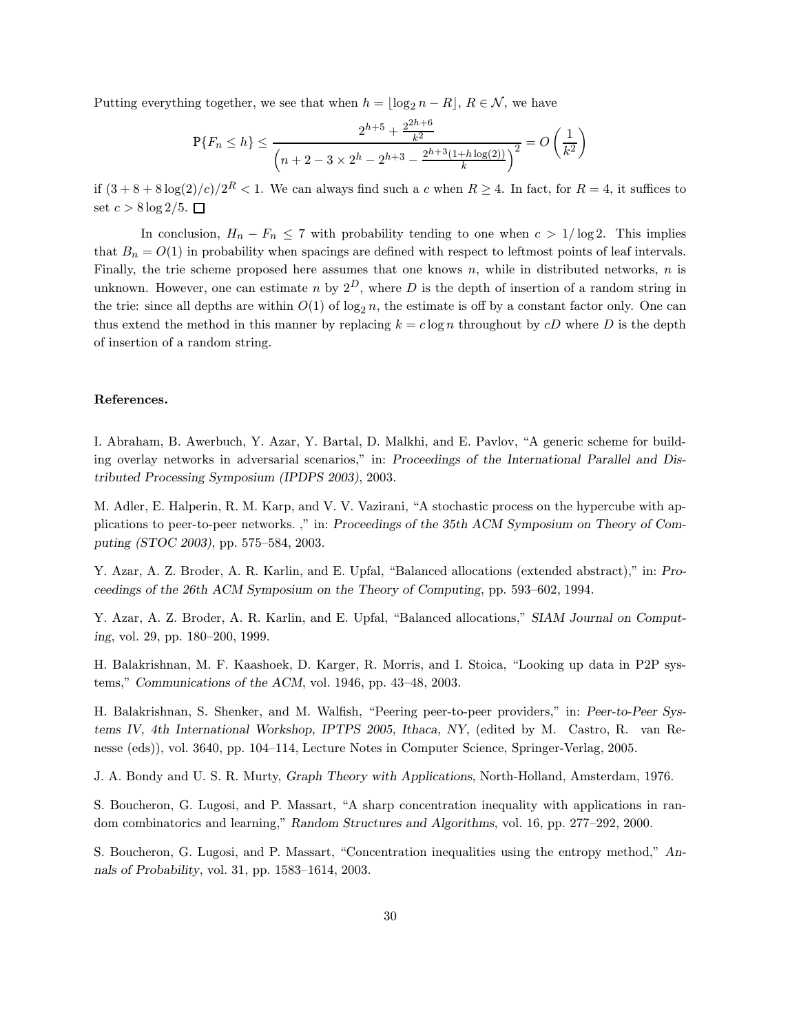Putting everything together, we see that when  $h = |\log_2 n - R|, R \in \mathcal{N}$ , we have

$$
\mathbb{P}\{F_n \le h\} \le \frac{2^{h+5} + \frac{2^{2h+6}}{k^2}}{\left(n+2-3 \times 2^h - 2^{h+3} - \frac{2^{h+3}(1+h\log(2))}{k}\right)^2} = O\left(\frac{1}{k^2}\right)
$$

if  $(3+8+8\log(2)/c)/2^R < 1$ . We can always find such a c when  $R \ge 4$ . In fact, for  $R = 4$ , it suffices to set  $c > 8 \log 2/5$ .  $\Box$ 

In conclusion,  $H_n - F_n \le 7$  with probability tending to one when  $c > 1/\log 2$ . This implies that  $B_n = O(1)$  in probability when spacings are defined with respect to leftmost points of leaf intervals. Finally, the trie scheme proposed here assumes that one knows  $n$ , while in distributed networks,  $n$  is unknown. However, one can estimate n by  $2^D$ , where D is the depth of insertion of a random string in the trie: since all depths are within  $O(1)$  of log<sub>2</sub> n, the estimate is off by a constant factor only. One can thus extend the method in this manner by replacing  $k = c \log n$  throughout by cD where D is the depth of insertion of a random string.

## References.

I. Abraham, B. Awerbuch, Y. Azar, Y. Bartal, D. Malkhi, and E. Pavlov, "A generic scheme for building overlay networks in adversarial scenarios," in: Proceedings of the International Parallel and Distributed Processing Symposium (IPDPS 2003), 2003.

M. Adler, E. Halperin, R. M. Karp, and V. V. Vazirani, "A stochastic process on the hypercube with applications to peer-to-peer networks. ," in: Proceedings of the 35th ACM Symposium on Theory of Computing (STOC 2003), pp. 575–584, 2003.

Y. Azar, A. Z. Broder, A. R. Karlin, and E. Upfal, "Balanced allocations (extended abstract)," in: Proceedings of the 26th ACM Symposium on the Theory of Computing, pp. 593–602, 1994.

Y. Azar, A. Z. Broder, A. R. Karlin, and E. Upfal, "Balanced allocations," SIAM Journal on Computing, vol. 29, pp. 180–200, 1999.

H. Balakrishnan, M. F. Kaashoek, D. Karger, R. Morris, and I. Stoica, "Looking up data in P2P systems," Communications of the ACM, vol. 1946, pp. 43–48, 2003.

H. Balakrishnan, S. Shenker, and M. Walfish, "Peering peer-to-peer providers," in: Peer-to-Peer Systems IV, 4th International Workshop, IPTPS 2005, Ithaca, NY, (edited by M. Castro, R. van Renesse (eds)), vol. 3640, pp. 104–114, Lecture Notes in Computer Science, Springer-Verlag, 2005.

J. A. Bondy and U. S. R. Murty, Graph Theory with Applications, North-Holland, Amsterdam, 1976.

S. Boucheron, G. Lugosi, and P. Massart, "A sharp concentration inequality with applications in random combinatorics and learning," Random Structures and Algorithms, vol. 16, pp. 277–292, 2000.

S. Boucheron, G. Lugosi, and P. Massart, "Concentration inequalities using the entropy method," Annals of Probability, vol. 31, pp. 1583–1614, 2003.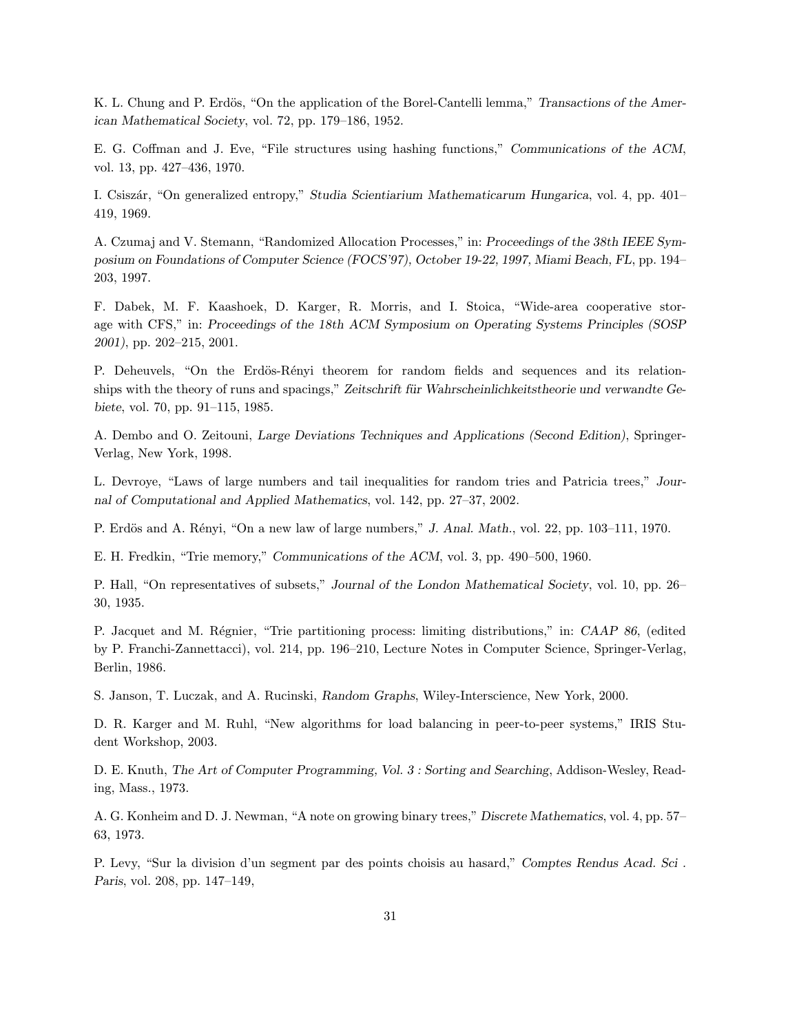K. L. Chung and P. Erdös, "On the application of the Borel-Cantelli lemma," Transactions of the American Mathematical Society, vol. 72, pp. 179–186, 1952.

E. G. Coffman and J. Eve, "File structures using hashing functions," Communications of the ACM, vol. 13, pp. 427–436, 1970.

I. Csisz´ar, "On generalized entropy," Studia Scientiarium Mathematicarum Hungarica, vol. 4, pp. 401– 419, 1969.

A. Czumaj and V. Stemann, "Randomized Allocation Processes," in: Proceedings of the 38th IEEE Symposium on Foundations of Computer Science (FOCS'97), October 19-22, 1997, Miami Beach, FL, pp. 194– 203, 1997.

F. Dabek, M. F. Kaashoek, D. Karger, R. Morris, and I. Stoica, "Wide-area cooperative storage with CFS," in: Proceedings of the 18th ACM Symposium on Operating Systems Principles (SOSP 2001), pp. 202–215, 2001.

P. Deheuvels, "On the Erdös-Rényi theorem for random fields and sequences and its relationships with the theory of runs and spacings," Zeitschrift für Wahrscheinlichkeitstheorie und verwandte Gebiete, vol. 70, pp. 91–115, 1985.

A. Dembo and O. Zeitouni, Large Deviations Techniques and Applications (Second Edition), Springer-Verlag, New York, 1998.

L. Devroye, "Laws of large numbers and tail inequalities for random tries and Patricia trees," Journal of Computational and Applied Mathematics, vol. 142, pp. 27–37, 2002.

P. Erdös and A. Rényi, "On a new law of large numbers," J. Anal. Math., vol. 22, pp. 103–111, 1970.

E. H. Fredkin, "Trie memory," Communications of the ACM, vol. 3, pp. 490–500, 1960.

P. Hall, "On representatives of subsets," Journal of the London Mathematical Society, vol. 10, pp. 26– 30, 1935.

P. Jacquet and M. Régnier, "Trie partitioning process: limiting distributions," in: CAAP 86, (edited by P. Franchi-Zannettacci), vol. 214, pp. 196–210, Lecture Notes in Computer Science, Springer-Verlag, Berlin, 1986.

S. Janson, T. Luczak, and A. Rucinski, Random Graphs, Wiley-Interscience, New York, 2000.

D. R. Karger and M. Ruhl, "New algorithms for load balancing in peer-to-peer systems," IRIS Student Workshop, 2003.

D. E. Knuth, The Art of Computer Programming, Vol. 3 : Sorting and Searching, Addison-Wesley, Reading, Mass., 1973.

A. G. Konheim and D. J. Newman, "A note on growing binary trees," Discrete Mathematics, vol. 4, pp. 57– 63, 1973.

P. Levy, "Sur la division d'un segment par des points choisis au hasard," Comptes Rendus Acad. Sci . Paris, vol. 208, pp. 147–149,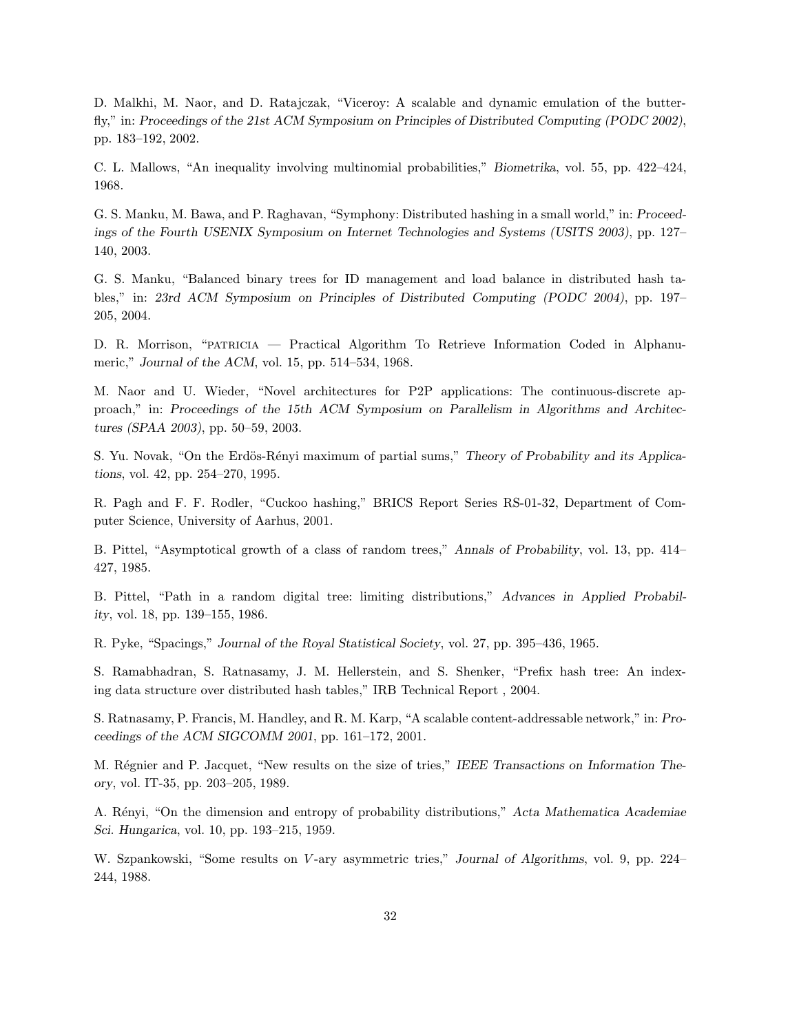D. Malkhi, M. Naor, and D. Ratajczak, "Viceroy: A scalable and dynamic emulation of the butterfly," in: Proceedings of the 21st ACM Symposium on Principles of Distributed Computing (PODC 2002), pp. 183–192, 2002.

C. L. Mallows, "An inequality involving multinomial probabilities," Biometrika, vol. 55, pp. 422–424, 1968.

G. S. Manku, M. Bawa, and P. Raghavan, "Symphony: Distributed hashing in a small world," in: Proceedings of the Fourth USENIX Symposium on Internet Technologies and Systems (USITS 2003), pp. 127– 140, 2003.

G. S. Manku, "Balanced binary trees for ID management and load balance in distributed hash tables," in: 23rd ACM Symposium on Principles of Distributed Computing (PODC 2004), pp. 197– 205, 2004.

D. R. Morrison, "patricia — Practical Algorithm To Retrieve Information Coded in Alphanumeric," Journal of the ACM, vol. 15, pp. 514–534, 1968.

M. Naor and U. Wieder, "Novel architectures for P2P applications: The continuous-discrete approach," in: Proceedings of the 15th ACM Symposium on Parallelism in Algorithms and Architectures (SPAA 2003), pp. 50–59, 2003.

S. Yu. Novak, "On the Erdös-Rényi maximum of partial sums," Theory of Probability and its Applications, vol. 42, pp. 254–270, 1995.

R. Pagh and F. F. Rodler, "Cuckoo hashing," BRICS Report Series RS-01-32, Department of Computer Science, University of Aarhus, 2001.

B. Pittel, "Asymptotical growth of a class of random trees," Annals of Probability, vol. 13, pp. 414– 427, 1985.

B. Pittel, "Path in a random digital tree: limiting distributions," Advances in Applied Probability, vol. 18, pp. 139–155, 1986.

R. Pyke, "Spacings," Journal of the Royal Statistical Society, vol. 27, pp. 395–436, 1965.

S. Ramabhadran, S. Ratnasamy, J. M. Hellerstein, and S. Shenker, "Prefix hash tree: An indexing data structure over distributed hash tables," IRB Technical Report , 2004.

S. Ratnasamy, P. Francis, M. Handley, and R. M. Karp, "A scalable content-addressable network," in: Proceedings of the ACM SIGCOMM 2001, pp. 161–172, 2001.

M. Régnier and P. Jacquet, "New results on the size of tries," IEEE Transactions on Information Theory, vol. IT-35, pp. 203–205, 1989.

A. Rényi, "On the dimension and entropy of probability distributions," Acta Mathematica Academiae Sci. Hungarica, vol. 10, pp. 193–215, 1959.

W. Szpankowski, "Some results on V-ary asymmetric tries," Journal of Algorithms, vol. 9, pp. 224– 244, 1988.